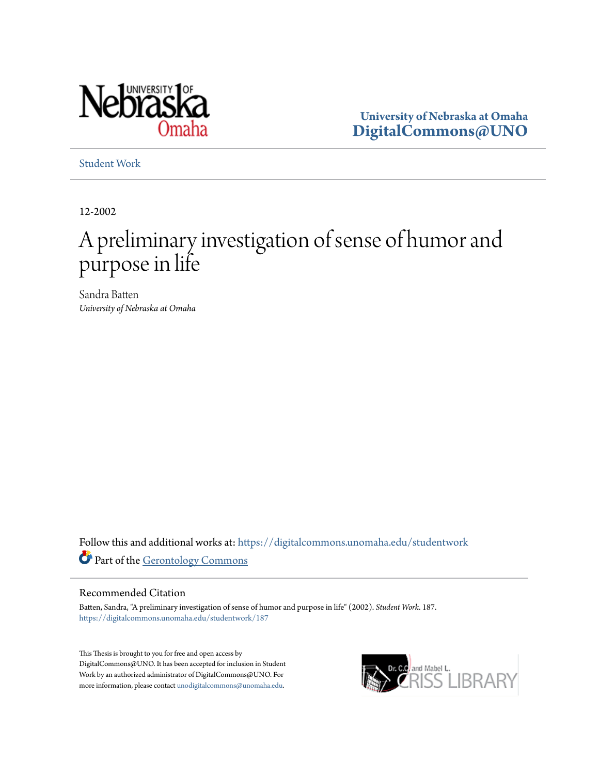

**University of Nebraska at Omaha [DigitalCommons@UNO](https://digitalcommons.unomaha.edu?utm_source=digitalcommons.unomaha.edu%2Fstudentwork%2F187&utm_medium=PDF&utm_campaign=PDFCoverPages)**

[Student Work](https://digitalcommons.unomaha.edu/studentwork?utm_source=digitalcommons.unomaha.edu%2Fstudentwork%2F187&utm_medium=PDF&utm_campaign=PDFCoverPages)

12-2002

# A preliminary investigation of sense of humor and purpose in life

Sandra Batten *University of Nebraska at Omaha*

Follow this and additional works at: [https://digitalcommons.unomaha.edu/studentwork](https://digitalcommons.unomaha.edu/studentwork?utm_source=digitalcommons.unomaha.edu%2Fstudentwork%2F187&utm_medium=PDF&utm_campaign=PDFCoverPages) Part of the [Gerontology Commons](http://network.bepress.com/hgg/discipline/1276?utm_source=digitalcommons.unomaha.edu%2Fstudentwork%2F187&utm_medium=PDF&utm_campaign=PDFCoverPages)

#### Recommended Citation

Batten, Sandra, "A preliminary investigation of sense of humor and purpose in life" (2002). *Student Work*. 187. [https://digitalcommons.unomaha.edu/studentwork/187](https://digitalcommons.unomaha.edu/studentwork/187?utm_source=digitalcommons.unomaha.edu%2Fstudentwork%2F187&utm_medium=PDF&utm_campaign=PDFCoverPages)

This Thesis is brought to you for free and open access by DigitalCommons@UNO. It has been accepted for inclusion in Student Work by an authorized administrator of DigitalCommons@UNO. For more information, please contact [unodigitalcommons@unomaha.edu](mailto:unodigitalcommons@unomaha.edu).

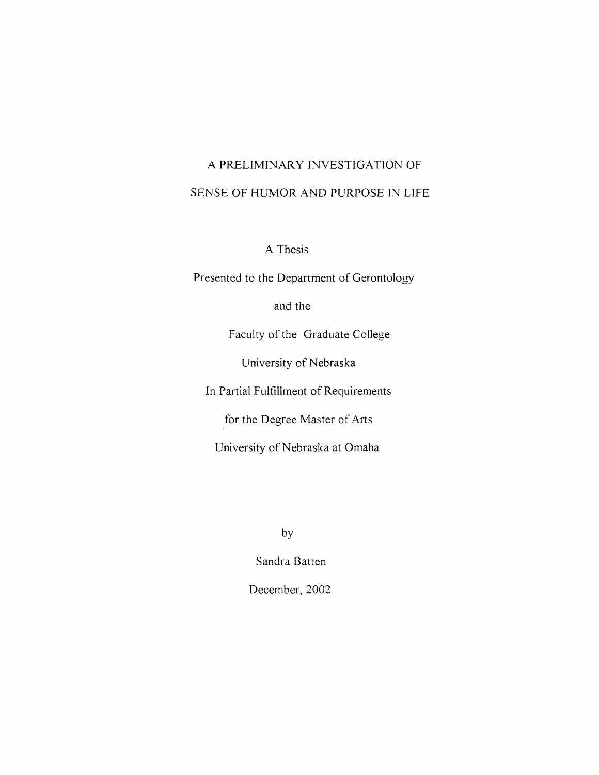# A PRELIMINARY INVESTIGATION OF SENSE OF HUMOR AND PURPOSE IN LIFE

A Thesis

Presented to the Department of Gerontology

and the

Faculty of the Graduate College

University of Nebraska

In Partial Fulfillment of Requirements

for the Degree Master of Arts

University of Nebraska at Omaha

by

Sandra Batten

December, 2002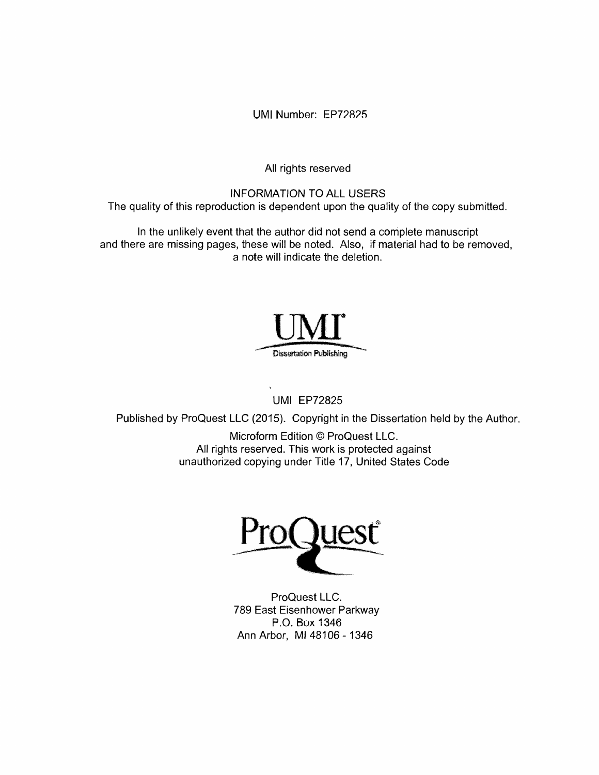UMI Number: EP72825

All rights reserved

# INFORMATION TO ALL USERS

The quality of this reproduction is dependent upon the quality of the copy submitted.

In the unlikely event that the author did not send a complete manuscript and there are missing pages, these will be noted. Also, if material had to be removed, a note will indicate the deletion.



UMI EP72825

Published by ProQuest LLC (2015). Copyright in the Dissertation held by the Author.

Microform Edition © ProQuest LLC. All rights reserved. This work is protected against unauthorized copying under Title 17, United States Code



ProQuest LLC. 789 East Eisenhower Parkway P.O. Box 1346 Ann Arbor, Ml 48106- 1346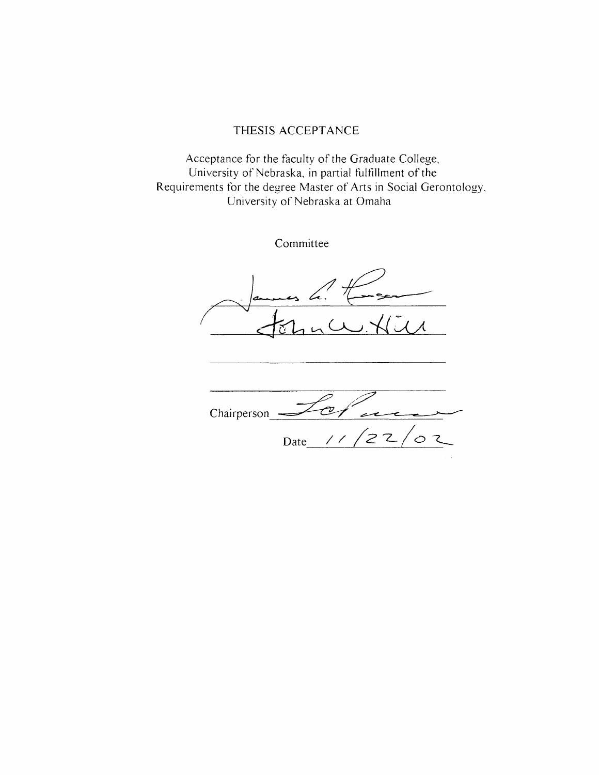# THESIS ACCEPTANCE

Acceptance for the faculty of the Graduate College, University of Nebraska, in partial fulfillment of the Requirements for the degree Master of Arts in Social Gerontology, University of Nebraska at Omaha

Committee

C Chairperson Date <u>/ / / 2</u> 2 / o て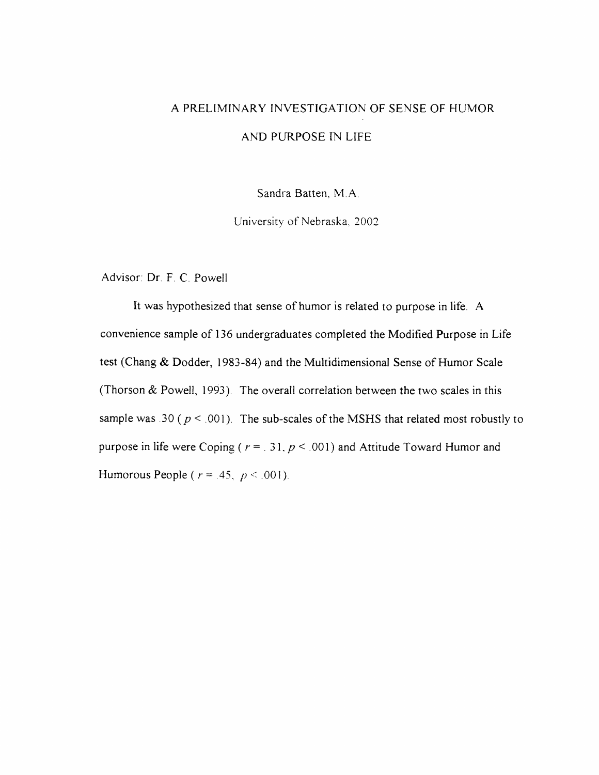# A PRELIMINARY INVESTIGATION OF SENSE OF HUMOR AND PURPOSE IN LIFE

Sandra Batten, M.A.

University of Nebraska, 2002.

Advisor: Dr. F. C. Powell

It was hypothesized that sense of humor is related to purpose in life. A convenience sample of 136 undergraduates completed the Modified Purpose in Life test (Chang & Dodder, 1983-84) and the Multidimensional Sense of Humor Scale (Thorson & Powell, 1993). The overall correlation between the two scales in this sample was .30 ( $p < 0.001$ ). The sub-scales of the MSHS that related most robustly to purpose in life were Coping ( $r = 0.31$ ,  $p \le 0.001$ ) and Attitude Toward Humor and Humorous People ( $r = .45$ ,  $p \le .001$ ).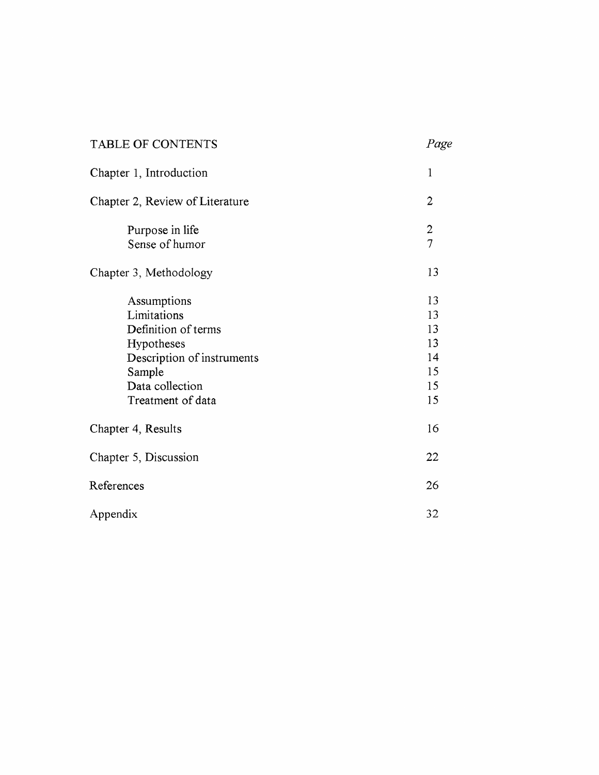| TABLE OF CONTENTS                                                                                                                               | Page                                         |
|-------------------------------------------------------------------------------------------------------------------------------------------------|----------------------------------------------|
| Chapter 1, Introduction                                                                                                                         | $\mathbf{1}$                                 |
| Chapter 2, Review of Literature                                                                                                                 | $\overline{2}$                               |
| Purpose in life<br>Sense of humor                                                                                                               | $\frac{2}{7}$                                |
| Chapter 3, Methodology                                                                                                                          | 13                                           |
| Assumptions<br>Limitations<br>Definition of terms<br>Hypotheses<br>Description of instruments<br>Sample<br>Data collection<br>Treatment of data | 13<br>13<br>13<br>13<br>14<br>15<br>15<br>15 |
| Chapter 4, Results                                                                                                                              | 16                                           |
| Chapter 5, Discussion                                                                                                                           | 22                                           |
| References                                                                                                                                      | 26                                           |
| Appendix                                                                                                                                        | 32                                           |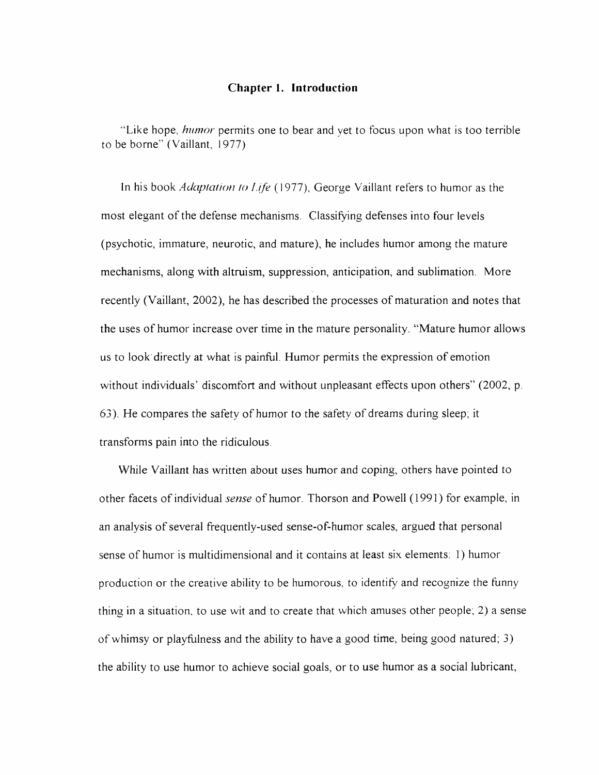# **Chapter I. Introduction**

"Like hope, *humor* permits one to bear and yet to focus upon what is too terrible to be borne" (Vaillant, 1977)

In his book *Adaptation to Life* (1977), George Vaillant refers to humor as the most elegant of the defense mechanisms. Classifying defenses into four levels (psychotic, immature, neurotic, and mature), he includes humor among the mature mechanisms, along with altruism, suppression, anticipation, and sublimation. More recently (Vaillant, 2002), he has described the processes of maturation and notes that the uses of humor increase over time in the mature personality. "Mature humor allows us to look directly at what is painful. Humor permits the expression of emotion without individuals' discomfort and without unpleasant effects upon others" (2002, p. 63). He compares the safety of humor to the safety of dreams during sleep; it transforms pain into the ridiculous.

While Vaillant has written about uses humor and coping, others have pointed to other facets of individual *sense* of humor. Thorson and Powell (1991) for example, in an analysis of several frequently-used sense-of-humor scales, argued that personal sense of humor is multidimensional and it contains at least six elements: 1) humor production or the creative ability to be humorous, to identity and recognize the funny thing in a situation, to use wit and to create that which amuses other people; 2) a sense of whimsy or playfulness and the ability to have a good time, being good natured; 3) the ability to use humor to achieve social goals, or to use humor as a social lubricant,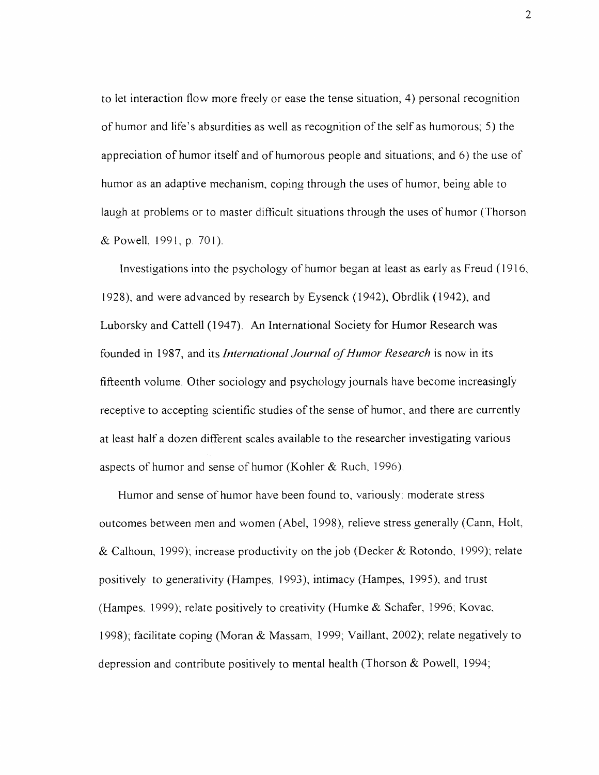to let interaction flow more freely or ease the tense situation; 4) personal recognition of humor and life's absurdities as well as recognition of the self as humorous; 5) the appreciation of humor itself and of humorous people and situations; and 6) the use of humor as an adaptive mechanism, coping through the uses of humor, being able to laugh at problems or to master difficult situations through the uses of humor (Thorson & Powell, 1991, p. 701).

Investigations into the psychology of humor began at least as early as Freud (1916, 1928), and were advanced by research by Eysenck (1942), Obrdlik (1942), and Luborsky and Cattell (1947). An International Society for Humor Research was founded in 1987, and its *International Journal of Humor Research* is now in its fifteenth volume. Other sociology and psychology journals have become increasingly receptive to accepting scientific studies of the sense of humor, and there are currently at least half a dozen different scales available to the researcher investigating various aspects of humor and sense of humor (Kohler & Ruch, 1996).

Humor and sense of humor have been found to, variously: moderate stress outcomes between men and women (Abel, 1998), relieve stress generally (Cann, Holt, & Calhoun, 1999); increase productivity on the job (Decker & Rotondo, 1999); relate positively to generativity (Hampes, 1993), intimacy (Hampes, 1995), and trust (Hampes, 1999); relate positively to creativity (Humke & Schafer, 1996; Kovac, 1998); facilitate coping (Moran & Massam, 1999; Vaillant, 2002); relate negatively to depression and contribute positively to mental health (Thorson & Powell, 1994;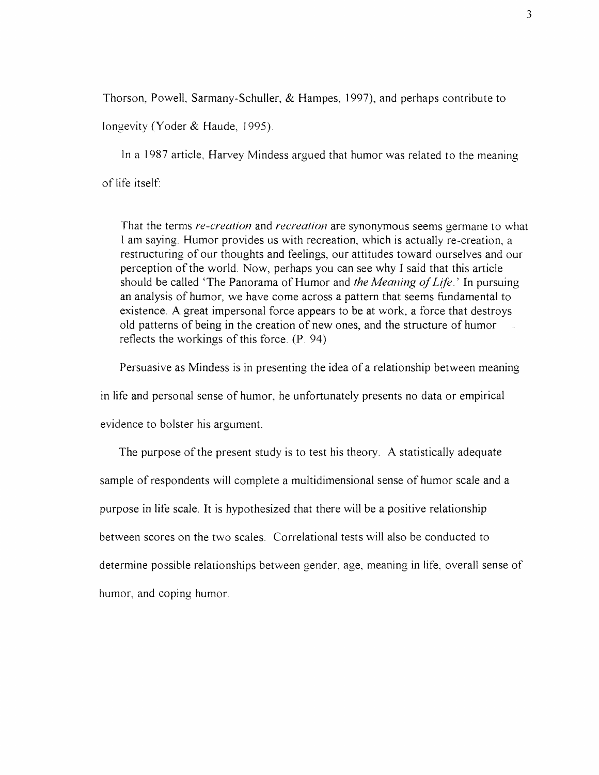Thorson, Powell, Sarmany-Schuller, & Hampes, 1997), and perhaps contribute to longevity (Yoder & Haude, 1995).

In a 1987 article, Harvey Mindess argued that humor was related to the meaning of life itself:

That the terms *re-creation* and *recreation* are synonymous seems germane to what I am saying. Humor provides us with recreation, which is actually re-creation, a restructuring of our thoughts and feelings, our attitudes toward ourselves and our perception of the world. Now, perhaps you can see why I said that this article should be called 'The Panorama of Humor and *the Meaning of Life*.' In pursuing an analysis of humor, we have come across a pattern that seems fundamental to existence. A great impersonal force appears to be at work, a force that destroys old patterns of being in the creation of new ones, and the structure of humor reflects the workings of this force. (P. 94)

Persuasive as Mindess is in presenting the idea of a relationship between meaning

in life and personal sense of humor, he unfortunately presents no data or empirical

evidence to bolster his argument.

The purpose of the present study is to test his theory. A statistically adequate sample of respondents will complete a multidimensional sense of humor scale and a purpose in life scale. It is hypothesized that there will be a positive relationship between scores on the two scales. Correlational tests will also be conducted to determine possible relationships between gender, age, meaning in life, overall sense of humor, and coping humor.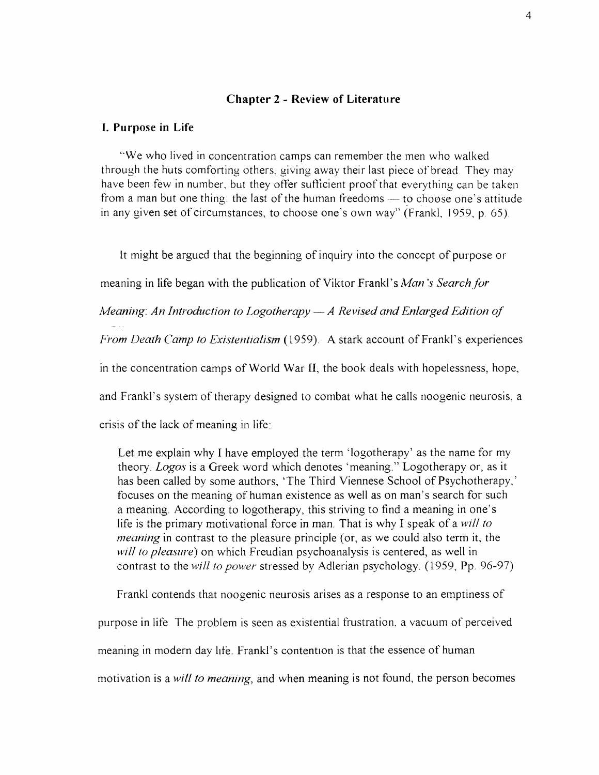#### **Chapter 2 - Review of Literature**

#### **I. Purpose in Life**

"We who lived in concentration camps can remember the men who walked through the huts comforting others, giving away their last piece of bread. They may have been few in number, but they offer sufficient proof that everything can be taken from a man but one thing: the last of the human freedoms — to choose one's attitude in any given set of circumstances, to choose one's own way" (Frankl, 1959, p. 65).

It might be argued that the beginning of inquiry into the concept of purpose or meaning in life began with the publication of Viktor Frankl's *Man's Search for Meaning: An Introduction to Logotherapy — A Revised and Enlarged Edition of From Death Camp to Existentialism* (1959). A stark account of Frankl's experiences in the concentration camps of World War II, the book deals with hopelessness, hope, and Frankl's system of therapy designed to combat what he calls noogenic neurosis, a crisis of the lack of meaning in life:

Let me explain why I have employed the term 'logotherapy' as the name for my theory. *Logos* is a Greek word which denotes 'meaning." Logotherapy or, as it has been called by some authors, 'The Third Viennese School of Psychotherapy,' focuses on the meaning of human existence as well as on man's search for such a meaning. According to logotherapy, this striving to find a meaning in one's life is the primary motivational force in man. That is why I speak of a *will to meaning* in contrast to the pleasure principle (or, as we could also term it, the *will to pleasure)* on which Freudian psychoanalysis is centered, as well in contrast to the *will to power* stressed by Adlerian psychology. (1959, Pp. 96-97)

Frankl contends that noogenic neurosis arises as a response to an emptiness of purpose in life. The problem is seen as existential frustration, a vacuum of perceived meaning in modern day life. Frankl's contention is that the essence of human motivation is a *will to meaning*, and when meaning is not found, the person becomes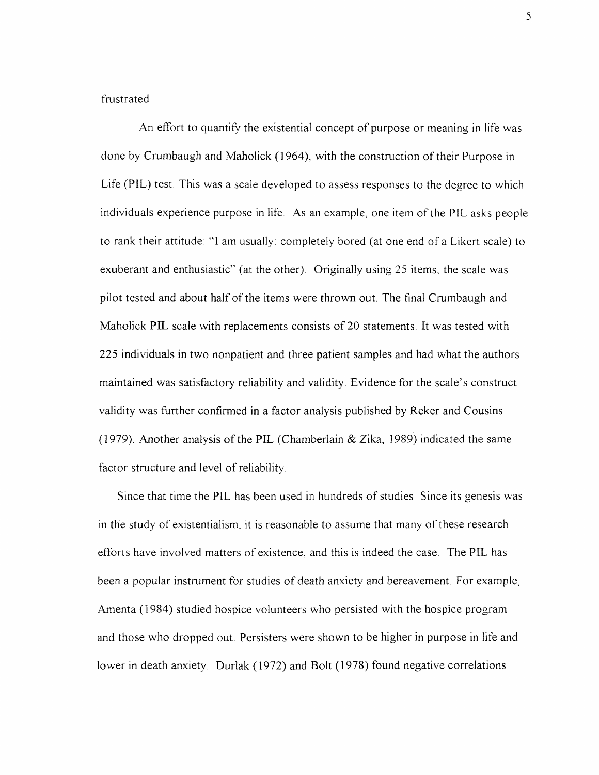frustrated.

An effort to quantify the existential concept of purpose or meaning in life was done by Crumbaugh and Maholick (1964), with the construction of their Purpose in Life (P1L) test. This was a scale developed to assess responses to the degree to which individuals experience purpose in life. As an example, one item of the PIL asks people to rank their attitude: "1 am usually: completely bored (at one end of a Likert scale) to exuberant and enthusiastic" (at the other). Originally using 25 items, the scale was pilot tested and about half of the items were thrown out. The final Crumbaugh and Maholick PIL scale with replacements consists of 20 statements. It was tested with 225 individuals in two nonpatient and three patient samples and had what the authors maintained was satisfactory reliability and validity. Evidence for the scale's construct validity was further confirmed in a factor analysis published by Reker and Cousins (1979). Another analysis of the PIL (Chamberlain & Zika, 1989) indicated the same factor structure and level of reliability.

Since that time the PIL has been used in hundreds of studies. Since its genesis was in the study of existentialism, it is reasonable to assume that many of these research efforts have involved matters of existence, and this is indeed the case. The PIL has been a popular instrument for studies of death anxiety and bereavement. For example, Amenta (1984) studied hospice volunteers who persisted with the hospice program and those who dropped out. Persisters were shown to be higher in purpose in life and lower in death anxiety. Durlak (1972) and Bolt (1978) found negative correlations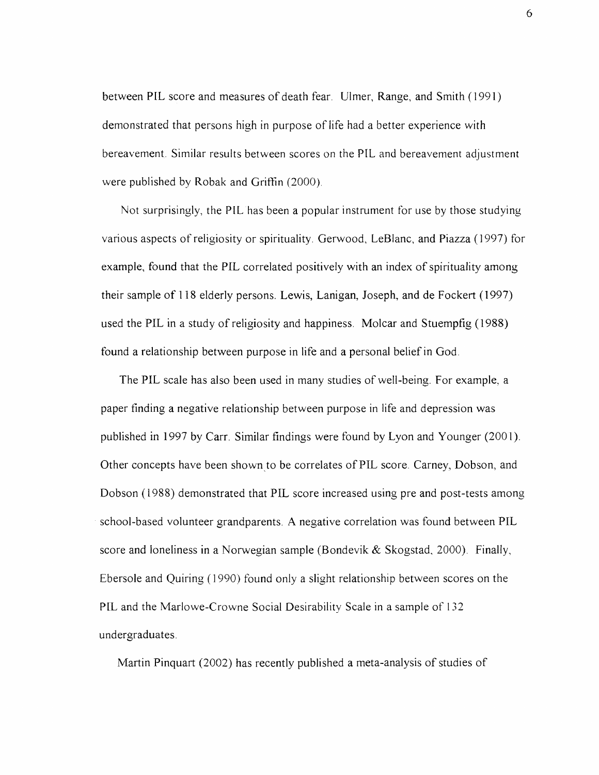between PIL score and measures of death fear. Ulmer, Range, and Smith (1991) demonstrated that persons high in purpose of life had a better experience with bereavement. Similar results between scores on the PIL and bereavement adjustment were published by Robak and Griffin (2000).

Not surprisingly, the PIL has been a popular instrument for use by those studying various aspects of religiosity or spirituality. Gerwood, LeBlanc, and Piazza (1997) for example, found that the PIL correlated positively with an index of spirituality among their sample of 118 elderly persons. Lewis, Lanigan, Joseph, and de Fockert (1997) used the PIL in a study of religiosity and happiness. Molcar and Stuempfig (1988) found a relationship between purpose in life and a personal belief in God.

The PIL scale has also been used in many studies of well-being. For example, a paper finding a negative relationship between purpose in life and depression was published in 1997 by Carr. Similar findings were found by Lyon and Younger (2001). Other concepts have been shown to be correlates of PIL score. Carney, Dobson, and Dobson (1988) demonstrated that PIL score increased using pre and post-tests among school-based volunteer grandparents. A negative correlation was found between PIL score and loneliness in a Norwegian sample (Bondevik  $&$  Skogstad, 2000). Finally, Ebersole and Quiring (1990) found only a slight relationship between scores on the PIL and the Marlowe-Crowne Social Desirability Scale in a sample of 132 undergraduates.

Martin Pinquart (2002) has recently published a meta-analysis of studies of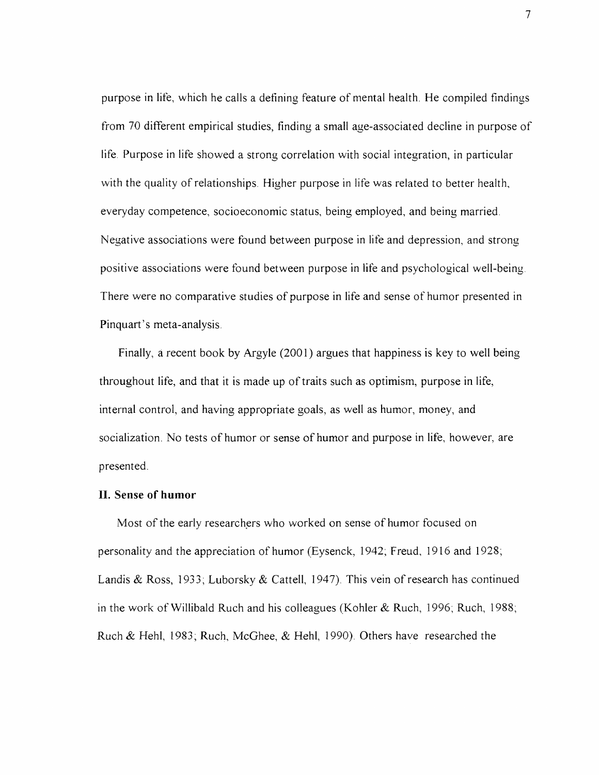purpose in life, which he calls a defining feature of mental health. He compiled findings from 70 different empirical studies, finding a small age-associated decline in purpose of life. Purpose in life showed a strong correlation with social integration, in particular with the quality of relationships. Higher purpose in life was related to better health, everyday competence, socioeconomic status, being employed, and being married. Negative associations were found between purpose in life and depression, and strong positive associations were found between purpose in life and psychological well-being. There were no comparative studies of purpose in life and sense of humor presented in Pinquart's meta-analysis.

Finally, a recent book by Argyle (2001) argues that happiness is key to well being throughout life, and that it is made up of traits such as optimism, purpose in life, internal control, and having appropriate goals, as well as humor, money, and socialization. No tests of humor or sense of humor and purpose in life, however, are presented.

#### **II. Sense of humor**

Most of the early researchers who worked on sense of humor focused on personality and the appreciation of humor (Eysenck, 1942, Freud, 1916 and 1928; Landis & Ross, 1933; Luborsky & Cattell, 1947). This vein of research has continued in the work of Willibald Ruch and his colleagues (Kohler & Ruch, 1996; Ruch, 1988; Ruch & Hehl, 1983, Ruch, McGhee, & Hehl, 1990). Others have researched the

7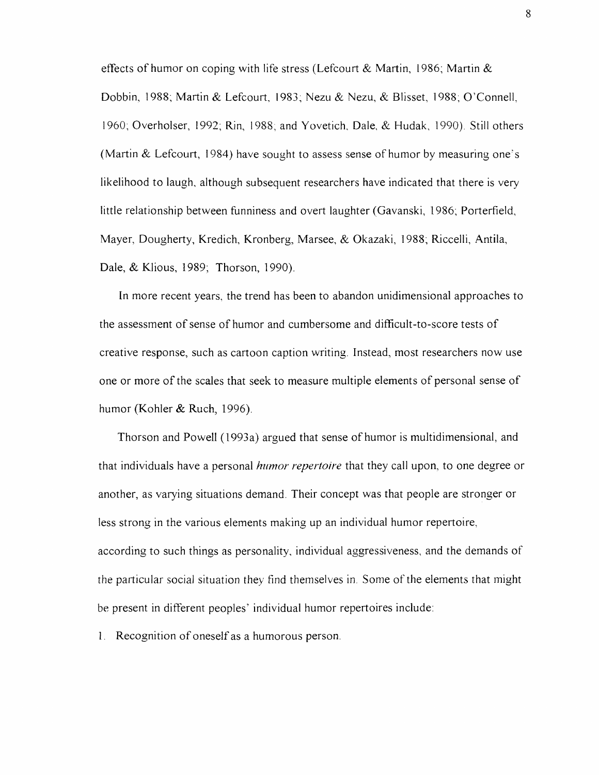effects of humor on coping with life stress (Lefcourt & Martin, 1986; Martin & Dobbin, 1988; Martin & Lefcourt, 1983; Nezu & Nezu, & Blisset, 1988; O'Connell, 1960, Overholser, 1992; Rin, 1988; and Yovetich, Dale, *&* Hudak, 1990). Still others (Martin & Lefcourt, 1984) have sought to assess sense of humor by measuring one's likelihood to laugh, although subsequent researchers have indicated that there is very little relationship between funniness and overt laughter (Gavanski, 1986; Porterfield, Mayer, Dougherty, Kredich, Kronberg, Marsee, & Okazaki, 1988; Riccelli, Antila, Dale, & Klious, 1989; Thorson, 1990).

In more recent years, the trend has been to abandon unidimensional approaches to the assessment of sense of humor and cumbersome and difficult-to-score tests of creative response, such as cartoon caption writing. Instead, most researchers now use one or more of the scales that seek to measure multiple elements of personal sense of humor (Kohler & Ruch, 1996).

Thorson and Powell (1993a) argued that sense of humor is multidimensional, and that individuals have a personal *humor repertoire* that they call upon, to one degree or another, as varying situations demand. Their concept was that people are stronger or less strong in the various elements making up an individual humor repertoire, according to such things as personality, individual aggressiveness, and the demands of the particular social situation they find themselves in. Some of the elements that might be present in different peoples' individual humor repertoires include:

1. Recognition of oneself as a humorous person.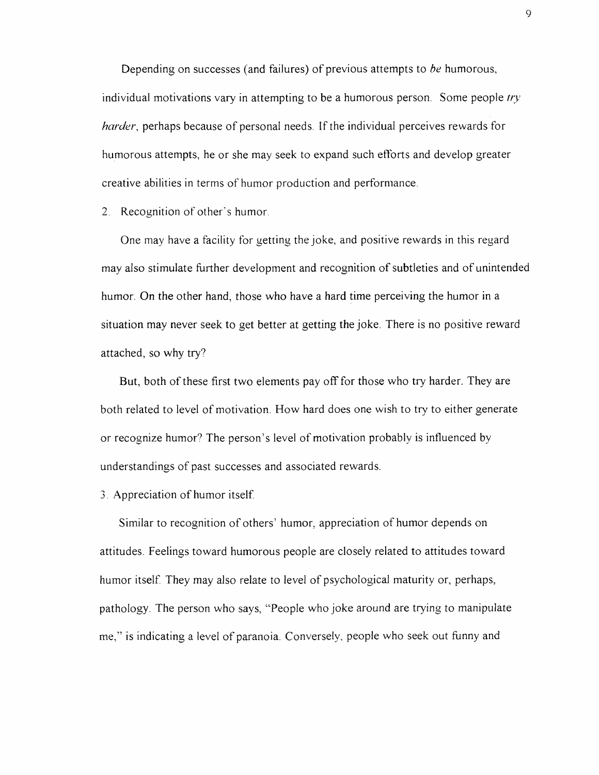Depending on successes (and failures) of previous attempts to *be* humorous, individual motivations vary in attempting to be a humorous person. Some people *try harder*, perhaps because of personal needs. If the individual perceives rewards for humorous attempts, he or she may seek to expand such efforts and develop greater creative abilities in terms of humor production and performance.

2. Recognition of other's humor.

One may have a facility for getting the joke, and positive rewards in this regard may also stimulate further development and recognition of subtleties and of unintended humor. On the other hand, those who have a hard time perceiving the humor in a situation may never seek to get better at getting the joke. There is no positive reward attached, so why try?

But, both of these first two elements pay off for those who try harder. They are both related to level of motivation. How hard does one wish to try to either generate or recognize humor? The person's level of motivation probably is influenced by understandings of past successes and associated rewards.

3. Appreciation of humor itself.

Similar to recognition of others' humor, appreciation of humor depends on attitudes. Feelings toward humorous people are closely related to attitudes toward humor itself. They may also relate to level of psychological maturity or, perhaps, pathology. The person who says, "People who joke around are trying to manipulate me," is indicating a level of paranoia. Conversely, people who seek out funny and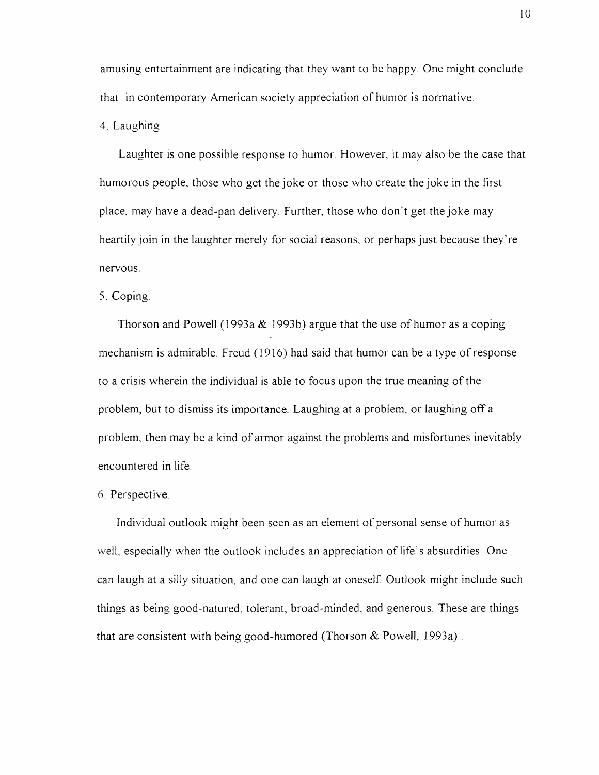amusing entertainment are indicating that they want to be happy. One might conclude that in contemporary American society appreciation of humor is normative.

4. Laughing.

Laughter is one possible response to humor. However, it may also be the case that humorous people, those who get the joke or those who create the joke in the first place, may have a dead-pan delivery. Further, those who don't get the joke may heartily join in the laughter merely for social reasons, or perhaps just because they're nervous.

# 5. Coping.

Thorson and Powell (1993a & 1993b) argue that the use of humor as a coping mechanism is admirable. Freud (1916) had said that humor can be a type of response to a crisis wherein the individual is able to focus upon the true meaning of the problem, but to dismiss its importance. Laughing at a problem, or laughing off a problem, then may be a kind of armor against the problems and misfortunes inevitably encountered in life.

## 6. Perspective.

Individual outlook might been seen as an element of personal sense of humor as well, especially when the outlook includes an appreciation of life's absurdities. One can laugh at a silly situation, and one can laugh at oneself. Outlook might include such things as being good-natured, tolerant, broad-minded, and generous. These are things that are consistent with being good-humored (Thorson  $&$  Powell, 1993a).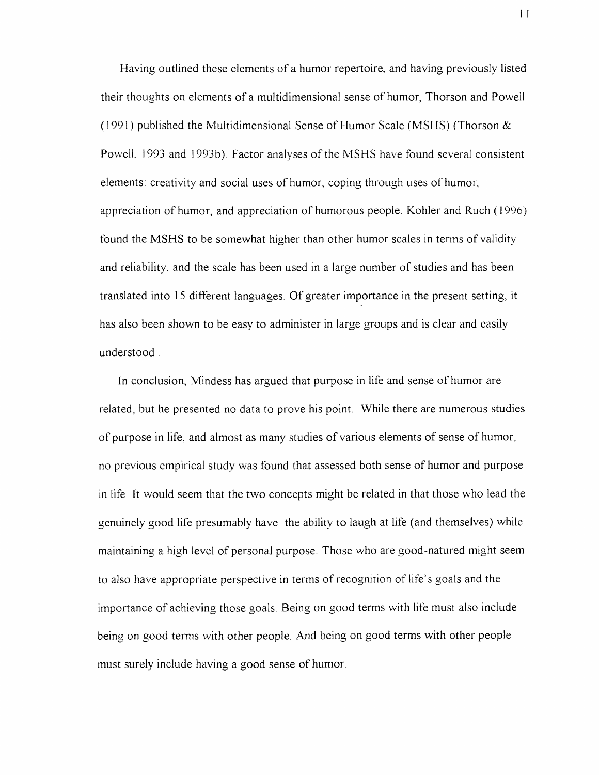Having outlined these elements of a humor repertoire, and having previously listed their thoughts on elements of a multidimensional sense of humor, Thorson and Powell (1991) published the Multidimensional Sense of Humor Scale (MSHS) (Thorson & Powell, 1993 and 1993b). Factor analyses of the MSHS have found several consistent elements: creativity and social uses of humor, coping through uses of humor, appreciation of humor, and appreciation of humorous people. Kohler and Ruch (1996) found the MSHS to be somewhat higher than other humor scales in terms of validity and reliability, and the scale has been used in a large number of studies and has been translated into 15 different languages. Of greater importance in the present setting, it has also been shown to be easy to administer in large groups and is clear and easily understood .

In conclusion, Mindess has argued that purpose in life and sense of humor are related, but he presented no data to prove his point. While there are numerous studies of purpose in life, and almost as many studies of various elements of sense of humor, no previous empirical study was found that assessed both sense of humor and purpose in life. It would seem that the two concepts might be related in that those who lead the genuinely good life presumably have the ability to laugh at life (and themselves) while maintaining a high level of personal purpose. Those who are good-natured might seem to also have appropriate perspective in terms of recognition of life's goals and the importance of achieving those goals. Being on good terms with life must also include being on good terms with other people. And being on good terms with other people must surely include having a good sense of humor.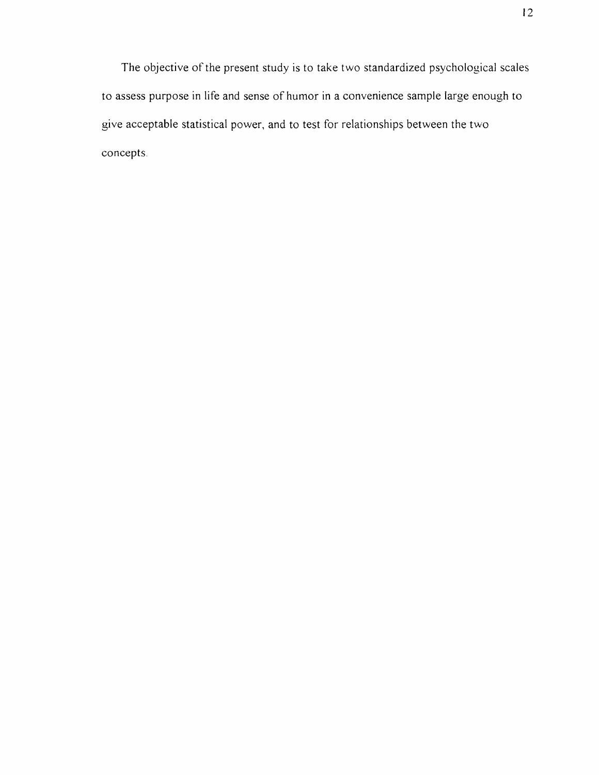The objective of the present study is to take two standardized psychological scales to assess purpose in life and sense of humor in a convenience sample large enough to give acceptable statistical power, and to test for relationships between the two concepts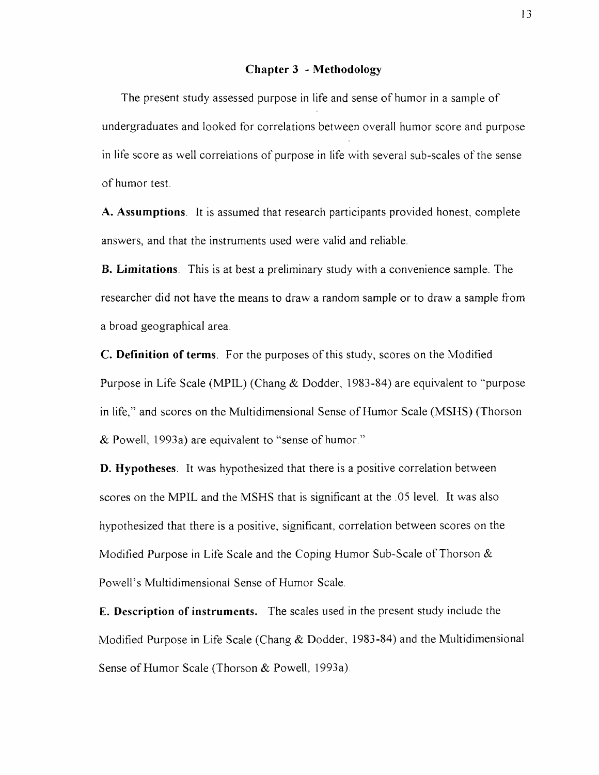#### **Chapter 3 - Methodology**

The present study assessed purpose in life and sense of humor in a sample of undergraduates and looked for correlations between overall humor score and purpose in life score as well correlations of purpose in life with several sub-scales of the sense of humor test.

**A. Assumptions.** It is assumed that research participants provided honest, complete answers, and that the instruments used were valid and reliable.

**B. Limitations.** This is at best a preliminary study with a convenience sample. The researcher did not have the means to draw a random sample or to draw a sample from a broad geographical area.

**C. Definition of terms.** For the purposes of this study, scores on the Modified Purpose in Life Scale (MPIL) (Chang & Dodder, 1983-84) are equivalent to "purpose in life," and scores on the Multidimensional Sense of Humor Scale (MSHS) (Thorson & Powell, 1993a) are equivalent to "sense of humor."

**D. Hypotheses.** It was hypothesized that there is a positive correlation between scores on the MPIL and the MSHS that is significant at the .05 level. It was also hypothesized that there is a positive, significant, correlation between scores on the Modified Purpose in Life Scale and the Coping Humor Sub-Scale of Thorson & Powell's Multidimensional Sense of Humor Scale.

E. **Description of instruments.** The scales used in the present study include the Modified Purpose in Life Scale (Chang & Dodder, 1983-84) and the Multidimensional Sense of Humor Scale (Thorson & Powell, 1993a).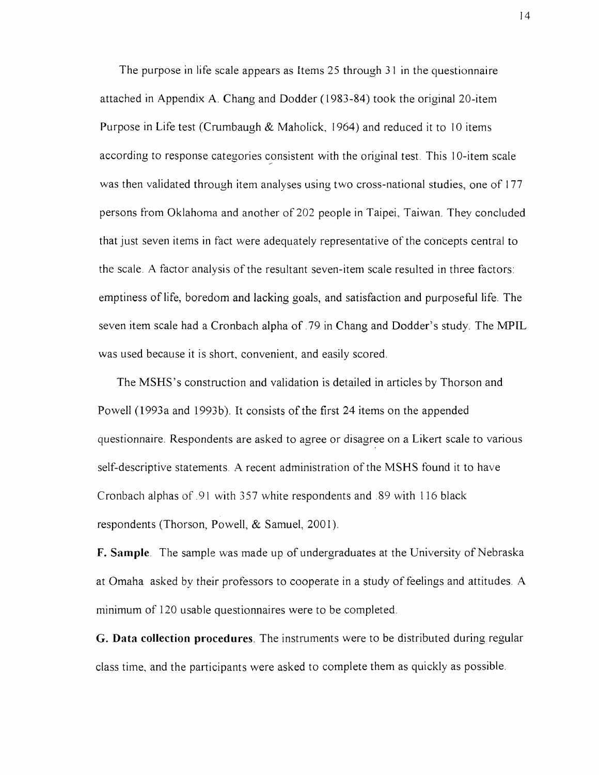The purpose in life scale appears as Items 25 through 31 in the questionnaire attached in Appendix A. Chang and Dodder (1983-84) took the original 20-item Purpose in Life test (Crumbaugh & Maholick, 1964) and reduced it to 10 items according to response categories consistent with the original test. This 10-item scale was then validated through item analyses using two cross-national studies, one of 177 persons from Oklahoma and another of 202 people in Taipei, Taiwan. They concluded that just seven items in fact were adequately representative of the concepts central to the scale. A factor analysis of the resultant seven-item scale resulted in three factors: emptiness of life, boredom and lacking goals, and satisfaction and purposeful life. The seven item scale had a Cronbach alpha of .79 in Chang and Dodder's study. The MPIL was used because it is short, convenient, and easily scored.

The MSHS's construction and validation is detailed in articles by Thorson and Powell (1993a and 1993b). It consists of the first 24 items on the appended questionnaire. Respondents are asked to agree or disagree on a Likert scale to various self-descriptive statements. A recent administration of the MSHS found it to have Cronbach alphas of .91 with 357 white respondents and .89 with 116 black respondents (Thorson, Powell, & Samuel, 2001).

**F. Sample.** The sample was made up of undergraduates at the University of Nebraska at Omaha asked by their professors to cooperate in a study of feelings and attitudes. A minimum of 120 usable questionnaires were to be completed.

**G. Data collection procedures.** The instruments were to be distributed during regular class time, and the participants were asked to complete them as quickly as possible.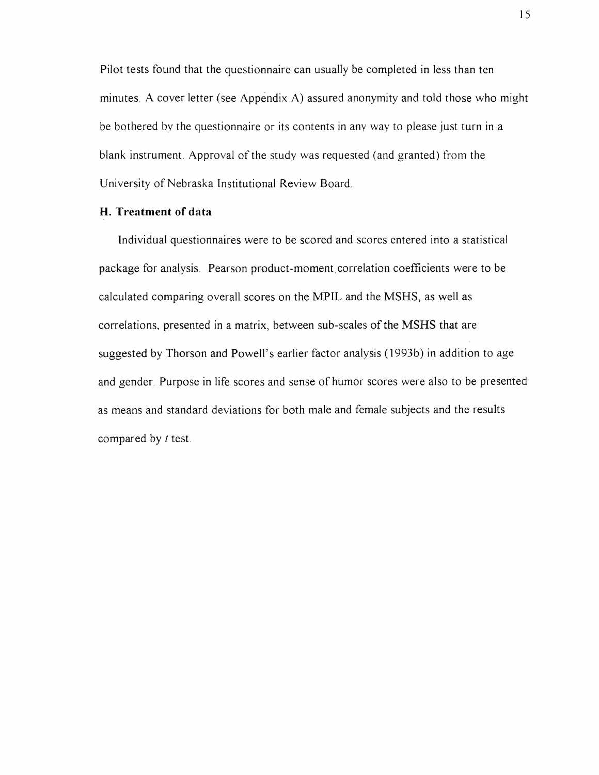Pilot tests found that the questionnaire can usually be completed in less than ten minutes. A cover letter (see Appendix A) assured anonymity and told those who might be bothered by the questionnaire or its contents in any way to please just turn in a blank instrument. Approval of the study was requested (and granted) from the University of Nebraska Institutional Review Board.

# **H. Treatment of data**

Individual questionnaires were to be scored and scores entered into a statistical package for analysis. Pearson product-moment,correlation coefficients were to be calculated comparing overall scores on the MPIL and the MSHS, as well as correlations, presented in a matrix, between sub-scales of the MSHS that are suggested by Thorson and Powell's earlier factor analysis (1993b) in addition to age and gender. Purpose in life scores and sense of humor scores were also to be presented as means and standard deviations for both male and female subjects and the results compared by *t* test.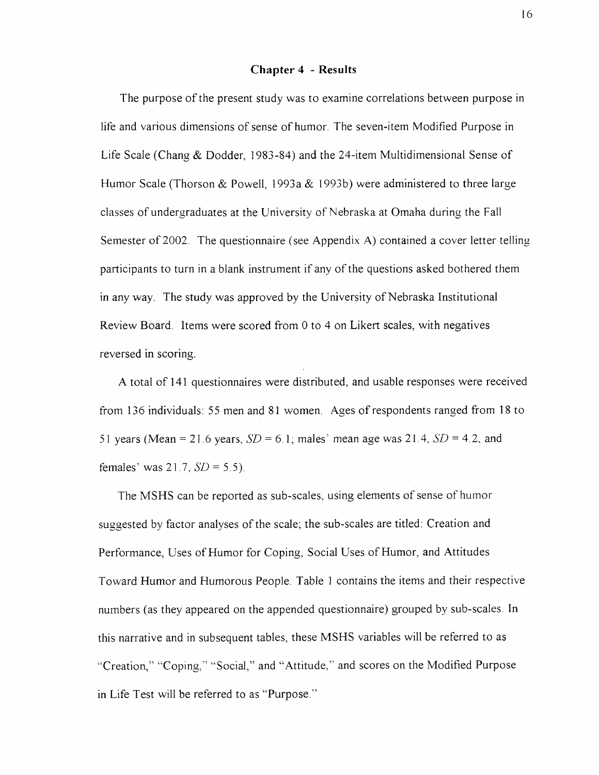#### **Chapter 4 - Results**

The purpose of the present study was to examine correlations between purpose in life and various dimensions of sense of humor. The seven-item Modified Purpose in Life Scale (Chang & Dodder, 1983-84) and the 24-item Multidimensional Sense of Humor Scale (Thorson & Powell, 1993a & 1993b) were administered to three large classes of undergraduates at the University of Nebraska at Omaha during the Fall Semester of 2002. The questionnaire (see Appendix A) contained a cover letter telling participants to turn in a blank instrument if any of the questions asked bothered them in any way. The study was approved by the University of Nebraska Institutional Review Board. Items were scored from 0 to 4 on Likert scales, with negatives reversed in scoring.

A total of 141 questionnaires were distributed, and usable responses were received from 136 individuals: 55 men and 81 women. Ages of respondents ranged from 18 to 51 years (Mean = 21.6 years,  $SD = 6.1$ ; males' mean age was 21.4,  $SD = 4.2$ , and females' was 21.7, *SD* = 5.5).

The MSHS can be reported as sub-scales, using elements of sense of humor suggested by factor analyses of the scale; the sub-scales are titled: Creation and Performance, Uses of Humor for Coping, Social Uses of Humor, and Attitudes Toward Hum or and Humorous People. Table 1 contains the items and their respective numbers (as they appeared on the appended questionnaire) grouped by sub-scales. In this narrative and in subsequent tables, these MSHS variables will be referred to as "Creation," "Coping," "Social," and "Attitude," and scores on the Modified Purpose in Life Test will be referred to as "Purpose."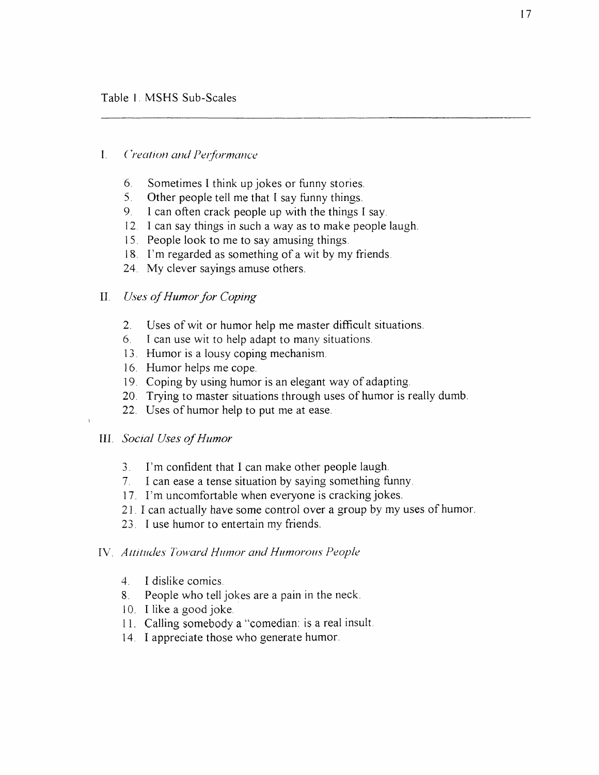#### I. *( >eat ion and Performance*

- 6. Sometimes I think up jokes or funny stories.
- 5. Other people tell me that I say funny things.
- 9. 1 can often crack people up with the things I say.
- 12. I can say things in such a way as to make people laugh.
- 15. People look to me to say amusing things.
- 18. I'm regarded as something of a wit by my friends.
- 24. My clever sayings amuse others.

# II. *Uses of Humor for Coping*

- 2. Uses of wit or humor help me master difficult situations.
- 6. I can use wit to help adapt to many situations.
- 13. Humor is a lousy coping mechanism.
- 16. Humor helps me cope.
- 19. Coping by using humor is an elegant way of adapting.
- 20. Trying to master situations through uses of humor is really dumb.
- 22. Uses of humor help to put me at ease.

# III. *Social Uses of Humor*

- 3. I'm confident that I can make other people laugh.
- 7. I can ease a tense situation by saying something funny.
- 17. I'm uncomfortable when everyone is cracking jokes.
- 21.1 can actually have some control over a group by my uses of humor.
- 23. I use humor to entertain my friends.

#### IV. *Attitudes Toward Humor and Humorous People*

- 4. I dislike comics.
- 8. People who tell jokes are a pain in the neck.
- 10. I like a good joke.
- 11. Calling somebody a "comedian: is a real insult.
- 14. I appreciate those who generate humor.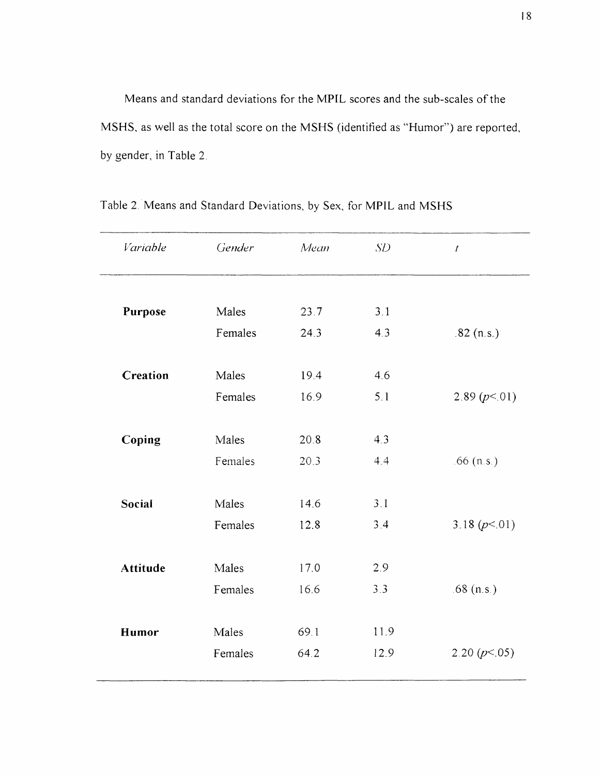Means and standard deviations for the MPIL scores and the sub-scales of the MSHS, as well as the total score on the MSHS (identified as "Humor") are reported, by gender, in Table 2.

| Variable        | Gender  | Mean | SD   | $\pmb{t}$       |
|-----------------|---------|------|------|-----------------|
|                 |         |      |      |                 |
| Purpose         | Males   | 23.7 | 3.1  |                 |
|                 | Females | 24.3 | 4.3  | $.82$ (n.s.)    |
| <b>Creation</b> | Males   | 19.4 | 4.6  |                 |
|                 | Females | 16.9 | 5.1  | 2.89 $(p<01)$   |
|                 |         |      |      |                 |
| Coping          | Males   | 20.8 | 4.3  |                 |
|                 | Females | 20.3 | 4.4  | $.66$ (n.s.)    |
| Social          | Males   | 14.6 | 3.1  |                 |
|                 | Females | 12.8 | 3.4  | 3.18 $(p<.01)$  |
| <b>Attitude</b> | Males   | 17.0 | 2.9  |                 |
|                 | Females | 16.6 | 3.3  | $.68$ (n.s.)    |
|                 |         |      |      |                 |
| Humor           | Males   | 69.1 | 11.9 |                 |
|                 | Females | 64.2 | 12.9 | 2.20 $(p< .05)$ |
|                 |         |      |      |                 |

Table 2. Means and Standard Deviations, by Sex, for MPIL and MSHS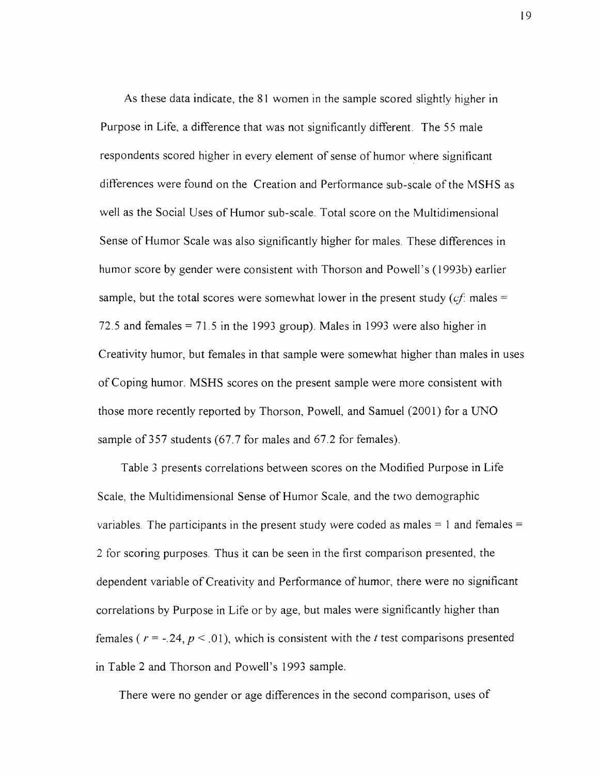As these data indicate, the 81 women in the sample scored slightly higher in Purpose in Life, a difference that was not significantly different. The 55 male respondents scored higher in every element of sense of humor where significant differences were found on the Creation and Performance sub-scale of the MSHS as well as the Social Uses of Humor sub-scale. Total score on the Multidimensional Sense of Humor Scale was also significantly higher for males. These differences in humor score by gender were consistent with Thorson and Powell's (1993b) earlier sample, but the total scores were somewhat lower in the present study  $(cf)$  males  $=$ 72.5 and females = 71.5 in the 1993 group). Males in 1993 were also higher in Creativity humor, but females in that sample were somewhat higher than males in uses of Coping humor. MSHS scores on the present sample were more consistent with those more recently reported by Thorson, Powell, and Samuel (2001) for a UNO sample of 357 students (67.7 for males and 67.2 for females).

Table 3 presents correlations between scores on the Modified Purpose in Life Scale, the Multidimensional Sense of Humor Scale, and the two demographic variables. The participants in the present study were coded as males  $= 1$  and females  $=$ 2 for scoring purposes. Thus it can be seen in the first comparison presented, the dependent variable of Creativity and Performance of humor, there were no significant correlations by Purpose in Life or by age, but males were significantly higher than females ( $r = -24$ ,  $p < .01$ ), which is consistent with the *t* test comparisons presented in Table 2 and Thorson and Powell's 1993 sample.

There were no gender or age differences in the second comparison, uses of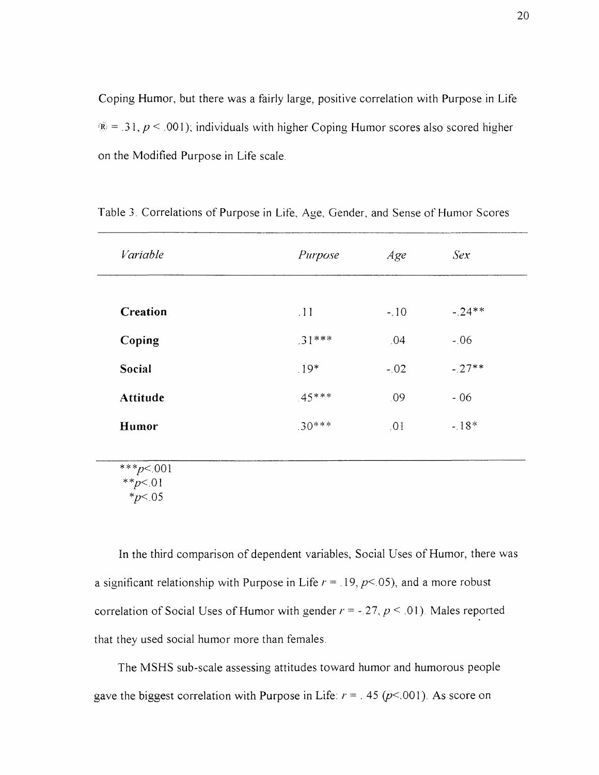Coping Humor, but there was a fairly large, positive correlation with Purpose in Life  $\hat{R} = 0.31$ ,  $p < 0.001$ ); individuals with higher Coping Humor scores also scored higher on the Modified Purpose in Life scale.

| Variable        | Purpose  | Age    | Sex      |
|-----------------|----------|--------|----------|
|                 |          |        |          |
| <b>Creation</b> | .11      | $-.10$ | $-.24**$ |
| Coping          | $.31***$ | .04    | $-.06$   |
| <b>Social</b>   | $.19*$   | $-.02$ | $-27**$  |
| Attitude        | $.45***$ | .09    | $-06$    |
| Humor           | $.30***$ | .01    | $-18*$   |
| ***n< 001       |          |        |          |

Table 3. Correlations of Purpose in Life, Age, Gender, and Sense of Humor Scores

\*\*\* $p<.001$ \*\* $p<.01$ \* $p<.05$ 

In the third comparison of dependent variables, Social Uses of Humor, there was a significant relationship with Purpose in Life  $r = 19$ ,  $p < 05$ ), and a more robust correlation of Social Uses of Humor with gender  $r = -27$ ,  $p \le 01$ ). Males reported that they used social humor more than females.

The MSHS sub-scale assessing attitudes toward humor and humorous people gave the biggest correlation with Purpose in Life:  $r = 0.45$  ( $p < 0.001$ ). As score on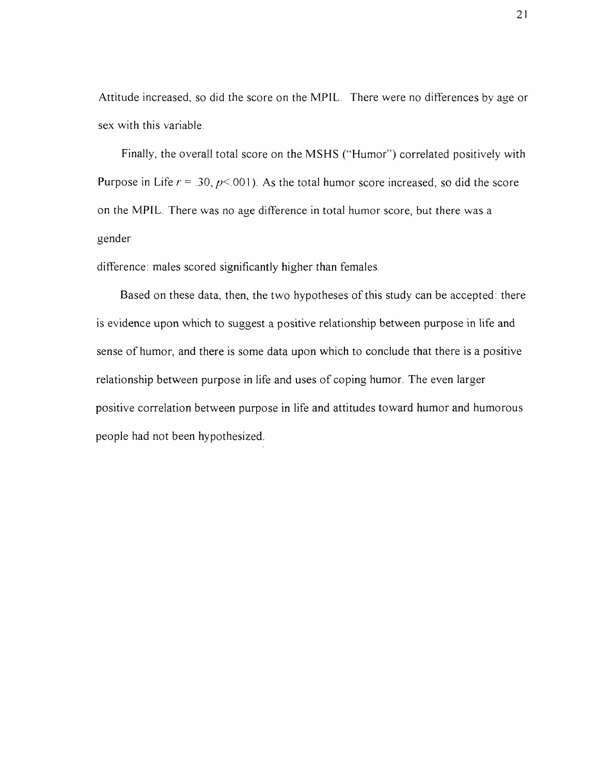Attitude increased, so did the score on the MPIL. There were no differences by age or sex with this variable.

Finally, the overall total score on the MSHS ("Humor") correlated positively with Purpose in Life  $r = .30$ ,  $p \le 001$ ). As the total humor score increased, so did the score on the MPIL. There was no age difference in total humor score, but there was a gender

difference: males scored significantly higher than females.

Based on these data, then, the two hypotheses of this study can be accepted: there is evidence upon which to suggest a positive relationship between purpose in life and sense of humor, and there is some data upon which to conclude that there is a positive relationship between purpose in life and uses of coping humor. The even larger positive correlation between purpose in life and attitudes toward humor and humorous people had not been hypothesized.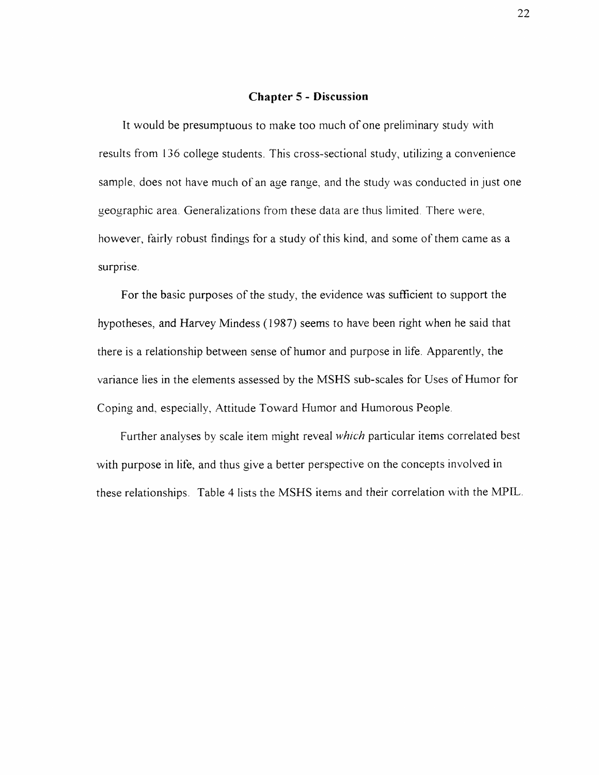#### **Chapter 5 - Discussion**

It would be presumptuous to make too much of one preliminary study with results from 136 college students. This cross-sectional study, utilizing a convenience sample, does not have much of an age range, and the study was conducted in just one geographic area. Generalizations from these data are thus limited. There were, however, fairly robust findings for a study of this kind, and some of them came as a surprise.

For the basic purposes of the study, the evidence was sufficient to support the hypotheses, and Harvey Mindess (1987) seems to have been right when he said that there is a relationship between sense of humor and purpose in life. Apparently, the variance lies in the elements assessed by the MSHS sub-scales for Uses of Humor for Coping and, especially, Attitude Toward Humor and Humorous People.

Further analyses by scale item might reveal *which* particular items correlated best with purpose in life, and thus give a better perspective on the concepts involved in these relationships. Table 4 lists the MSHS items and their correlation with the MPIL.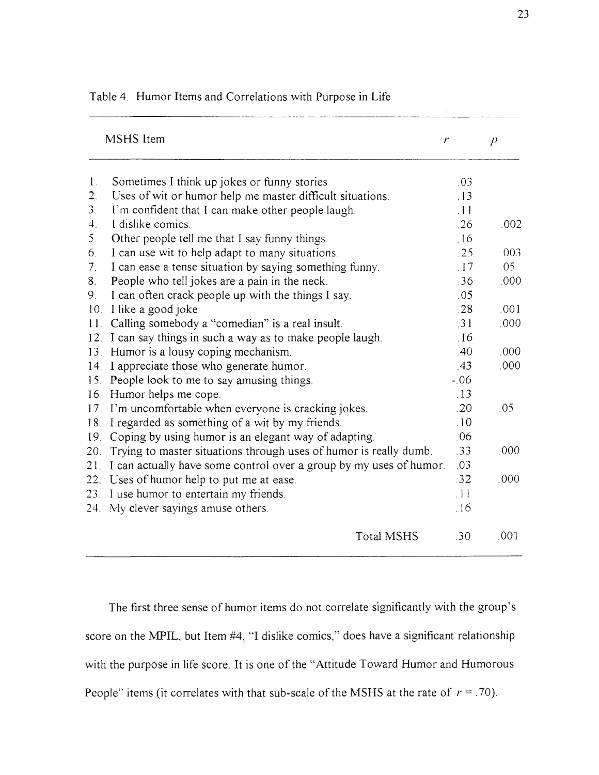|                                  | MSHS Item                                                          | r                     | $\overline{\rho}$ |
|----------------------------------|--------------------------------------------------------------------|-----------------------|-------------------|
| $\mathbf{1}$ .                   | Sometimes I think up jokes or funny stories                        | .03                   |                   |
| $\overline{2}$ .                 | Uses of wit or humor help me master difficult situations.          | .13                   |                   |
| 3 <sub>1</sub>                   | I'm confident that I can make other people laugh.                  | $\pm 11$              |                   |
| $4_{\cdot}$                      | I dislike comics.                                                  | .26                   | .002              |
| 5 <sub>1</sub>                   | Other people tell me that I say funny things                       | 16                    |                   |
| 6.                               | I can use wit to help adapt to many situations.                    | .25                   | .003              |
| $7_{\scriptscriptstyle{\wedge}}$ | I can ease a tense situation by saying something funny.            | $\frac{17}{2}$        | .05               |
| 8 <sub>1</sub>                   | People who tell jokes are a pain in the neck.                      | .36                   | .000              |
| 9.                               | I can often crack people up with the things I say.                 | .05                   |                   |
| 10.                              | I like a good joke.                                                | .28                   | .001              |
| 11.                              | Calling somebody a "comedian" is a real insult.                    | .31                   | .000              |
| 12.                              | I can say things in such a way as to make people laugh.            | .16                   |                   |
|                                  | 13. Humor is a lousy coping mechanism.                             | .40                   | .000.             |
| 14.                              | I appreciate those who generate humor.                             | .43                   | .000              |
|                                  | 15. People look to me to say amusing things.                       | $-.06$                |                   |
|                                  | 16. Humor helps me cope.                                           | .13                   |                   |
|                                  | 17. I'm uncomfortable when everyone is cracking jokes.             | .20                   | .05               |
| 18.                              | I regarded as something of a wit by my friends.                    | .10                   |                   |
| 19.                              | Coping by using humor is an elegant way of adapting.               | .06                   |                   |
| 20.                              | Trying to master situations through uses of humor is really dumb.  | .33                   | .000              |
| 21.                              | I can actually have some control over a group by my uses of humor. | .03                   |                   |
|                                  | 22. Uses of humor help to put me at ease.                          | .32                   | .000              |
| 23 <sub>1</sub>                  | I use humor to entertain my friends.                               | $\lceil \cdot \rceil$ |                   |
|                                  | 24. My clever sayings amuse others.                                | .16                   |                   |
|                                  | <b>Total MSHS</b>                                                  | .30                   | .001              |

Table 4. Humor Items and Correlations with Purpose in Life

The first three sense of humor items do not correlate significantly with the group's score on the MPIL, but Item #4, "I dislike comics," does have a significant relationship with the purpose in life score. It is one of the "Attitude Toward Humor and Humorous People" items (it correlates with that sub-scale of the MSHS at the rate of  $r = .70$ ).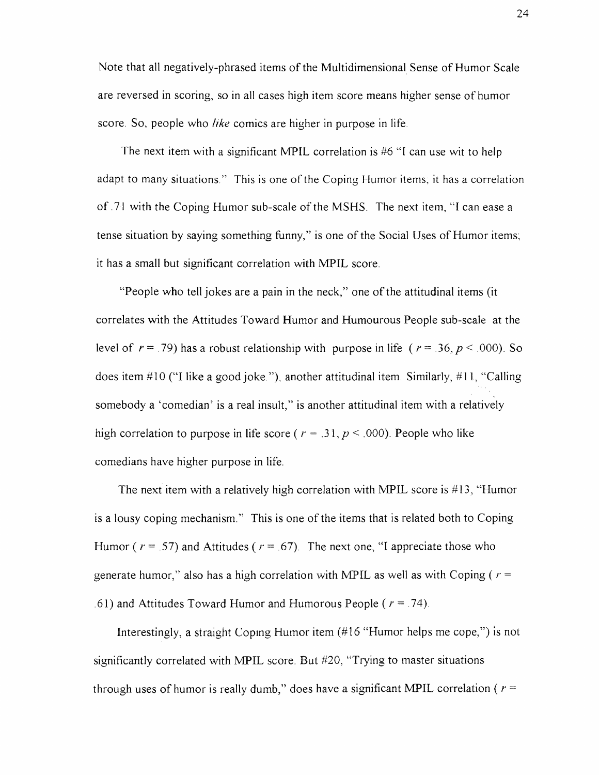Note that all negatively-phrased items of the Multidimensional Sense of Humor Scale are reversed in scoring, so in all cases high item score means higher sense of humor score. So, people who *like* comics are higher in purpose in life.

The next item with a significant MPIL correlation is #6 "I can use wit to help adapt to many situations." This is one of the Coping Humor items; it has a correlation of .71 with the Coping Humor sub-scale of the MSHS. The next item, "I can ease a tense situation by saying something funny," is one of the Social Uses of Humor items; it has a small but significant correlation with MPIL score.

"People who tell jokes are a pain in the neck," one of the attitudinal items (it correlates with the Attitudes Toward Humor and Humourous People sub-scale at the level of  $r = .79$ ) has a robust relationship with purpose in life ( $r = .36$ ,  $p < .000$ ). So does item #10 ("I like a good joke "), another attitudinal item. Similarly, #11, "Calling somebody a 'comedian' is a real insult," is another attitudinal item with a relatively high correlation to purpose in life score ( $r = .31$ ,  $p < .000$ ). People who like comedians have higher purpose in life.

The next item with a relatively high correlation with MPIL score is  $#13$ , "Humor is a lousy coping mechanism." This is one of the items that is related both to Coping Humor ( $r = .57$ ) and Attitudes ( $r = .67$ ). The next one, "I appreciate those who generate humor," also has a high correlation with MPIL as well as with Coping ( $r =$ .61) and Attitudes Toward Humor and Humorous People ( *r —* .74).

Interestingly, a straight Coping Humor item (#16 "Humor helps me cope,") is not significantly correlated with MPIL score. But #20, "Trying to master situations through uses of humor is really dumb," does have a significant MPIL correlation ( $r =$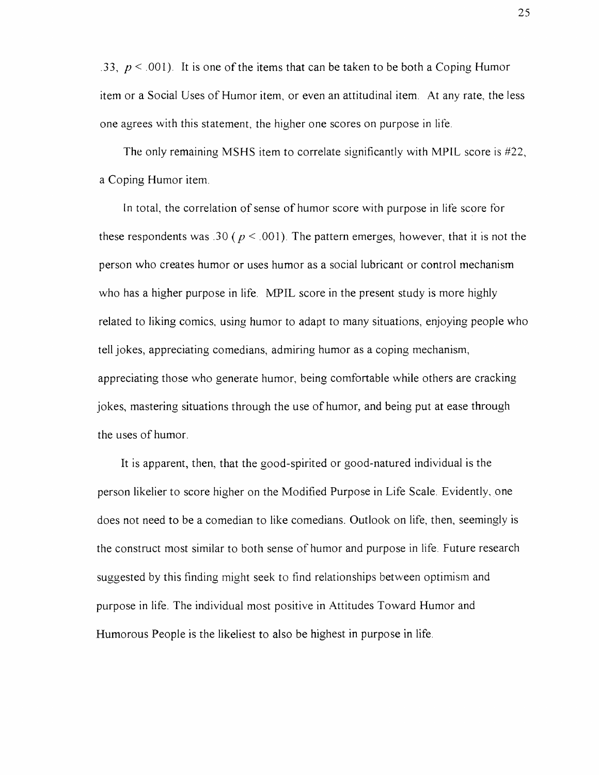.33,  $p < 0.001$ ). It is one of the items that can be taken to be both a Coping Humor item or a Social Uses of Humor item, or even an attitudinal item. At any rate, the less one agrees with this statement, the higher one scores on purpose in life.

The only remaining MSHS item to correlate significantly with MPIL score is #22, a Coping Humor item.

In total, the correlation of sense of humor score with purpose in life score for these respondents was .30 ( $p < .001$ ). The pattern emerges, however, that it is not the person who creates humor or uses humor as a social lubricant or control mechanism who has a higher purpose in life. MPIL score in the present study is more highly related to liking comics, using humor to adapt to many situations, enjoying people who tell jokes, appreciating comedians, admiring humor as a coping mechanism, appreciating those who generate humor, being comfortable while others are cracking jokes, mastering situations through the use of humor, and being put at ease through the uses of humor.

It is apparent, then, that the good-spirited or good-natured individual is the person likelier to score higher on the Modified Purpose in Life Scale. Evidently, one does not need to be a comedian to like comedians. Outlook on life, then, seemingly is the construct most similar to both sense of humor and purpose in life. Future research suggested by this finding might seek to find relationships between optimism and purpose in life. The individual most positive in Attitudes Toward Humor and Humorous People is the likeliest to also be highest in purpose in life.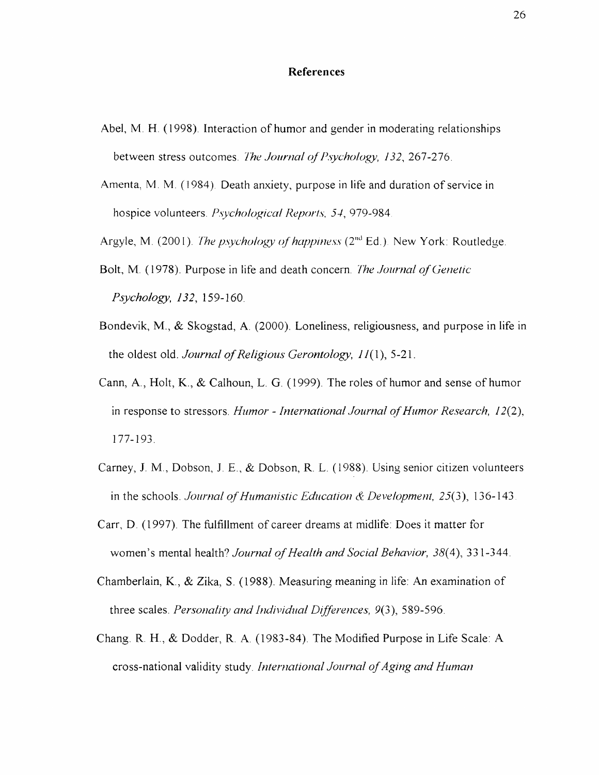#### **References**

- Abel, M. H. (1998). Interaction of humor and gender in moderating relationships between stress outcomes. *The Journal of Psychology, 132, 267-276*.
- Amenta, M. M. (1984). Death anxiety, purpose in life and duration of service in hospice volunteers. *Psychological Reports, 54,* 979-984
- Argyle, M. (2001). *The psychology of happiness* (2<sup>nd</sup> Ed.). New York: Routledge.
- Bolt, M. (1978). Purpose in life and death concern. *The Journal of Genetic Psychology, 132,* 159-160.
- Bondevik, M., & Skogstad, A. (2000). Loneliness, religiousness, and purpose in life in the oldest old. *Journal of Religious Gerontology*,  $11(1)$ , 5-21.
- Cann, A., Holt, K., & Calhoun, L. G. (1999). The roles of humor and sense of humor in response to stressors. *Humor - International Journal of Humor Research*, 12(2), 177-193.
- Carney, J. M., Dobson, J. E., & Dobson, R. L. (1988). Using senior citizen volunteers in the schools. *Journal of Humanistic Education & Development*, 25(3), 136-143.
- Carr, D. (1997). The fulfillment of career dreams at midlife. Does it matter for women's mental health? *Journal of Health and Social Behavior*, 38(4), 331-344.
- Chamberlain, K., & Zika, S. (1988). Measuring meaning in life: An examination of three scales. *Personality and Individual Differences, 9(3),* 589-596.
- Chang. R. H., & Dodder, R. A. (1983-84). The Modified Purpose in Life Scale: A cross-national validity study. *International Journal of Aging and Human*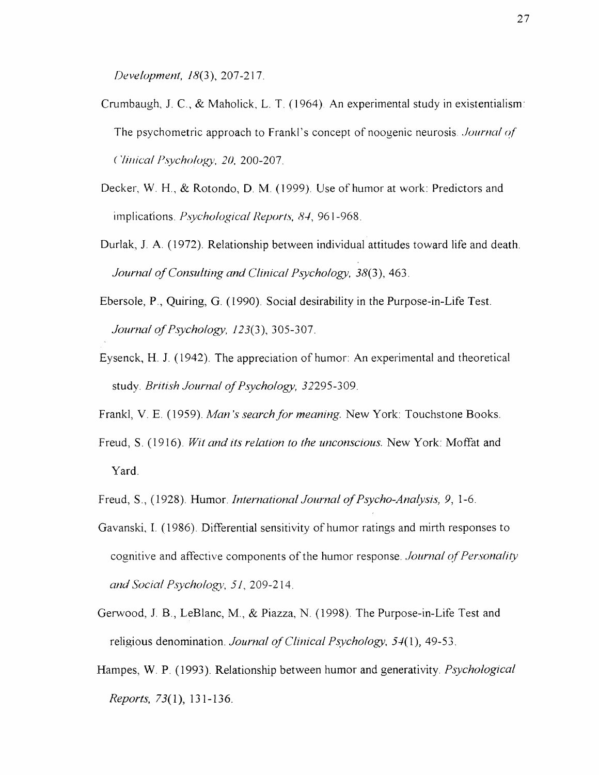*Development, 18{*3), 207-217.

- Crumbaugh, J. C., & Maholick, L. T. (1964) An experimental study in existentialism: The psychometric approach to Frankl's concept of noogenic neurosis *Journal of ( liniccil Psychology\ 20,* 200-207.
- Decker, W. H., & Rotondo, D. M (1999). Use of humor at work: Predictors and implications. *Psychological Reports, 84,* 961-968.
- Durlak, J. A. (1972). Relationship between individual attitudes toward life and death. *Journal of Consulting and Clinical Psychology, 38(3), 463.*
- Ebersole, P., Quiring, G. (1990). Social desirability in the Purpose-in-Life Test. *Journal of Psychology, 123(3), 305-307.*
- Eysenck, H. J. (1942). The appreciation of humor: An experimental and theoretical study. *British Journal of Psychology*, 32295-309.
- Frankl, V. E. (1959). *Man's search for meaning.* New York: Touchstone Books.
- Freud, S. (1916). *Wit and its relation to the unconscious.* New York: Moffat and Yard.
- Freud, S., (1928). Humor. *International Journal of Psycho-Analysis*, 9, 1-6.
- Gavanski, I. (1986). Differential sensitivity of humor ratings and mirth responses to cognitive and affective components of the humor response. *Journal of Personality and Social Psychology\ 51,* 209-214.
- Gerwood, J. B., LeBlanc, M., & Piazza, N. (1998). The Purpose-in-Life Test and religious denomination. *Journal of Clinical Psychology*, 54(1), 49-53.
- Hampes, W. P. (1993). Relationship between humor and generativity. *Psychological Reports,* 73(1), 131-136.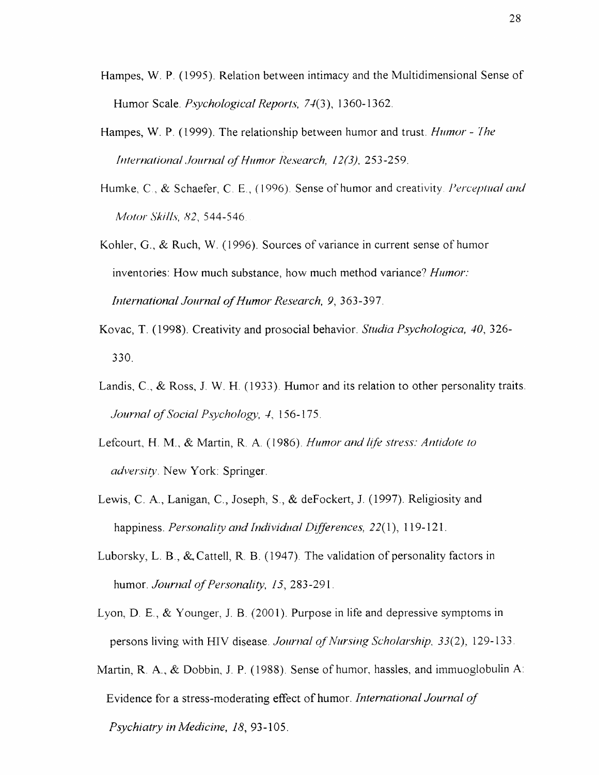- Hampes, W. P. (1995). Relation between intimacy and the Multidimensional Sense of Humor Scale. *Psychological Reports, 74(*3), 1360-1362.
- Hampes, W. P. (1999). The relationship between humor and trust. *Humor The International Journal of Humor Research, 12(3), 253-259.*
- Humke, C., & Schaefer, C. E., (1996). Sense of humor and creativity. *Perceptual and Motor Skills, 82*, 544-546
- Kohler, G., *&* Ruch, W. (1996). Sources of variance in current sense of humor inventories: How much substance, how much method variance? *Humor: International Journal of Humor Research, 9, 363-397.*
- Kovac, T. (1998). Creativity and prosocial behavior. *Studia Psychologica, 40,* 326- 330.
- Landis, C., & Ross, J. W. H. (1933). Humor and its relation to other personality traits. *Journal of Social Psychology, 4, 156-175.*
- Lefcourt, H. M., & Martin, R. A. (1986). *Humor and life stress: Antidote to adversity*. New York: Springer.
- Lewis, C. A., Lanigan, C., Joseph, S., & deFockert, J. (1997). Religiosity and happiness. *Personality and Individual Differences,* 22(1), 119-121.
- Luborsky, L. B., & Cattell, R. B. (1947). The validation of personality factors in humor. *Journal of Personality, 15, 283-291*.
- Lyon, D. E., & Younger, J. B. (2001). Purpose in life and depressive symptoms in persons living with HIV disease. *Journal of Nursing Scholarship*, 33(2), 129-133.
- Martin, R. A., & Dobbin, J. P. (1988). Sense of humor, hassles, and immuoglobulin A: Evidence for a stress-moderating effect of humor. *International Journal of Psychiatry in Medicine, 18,* 93-105.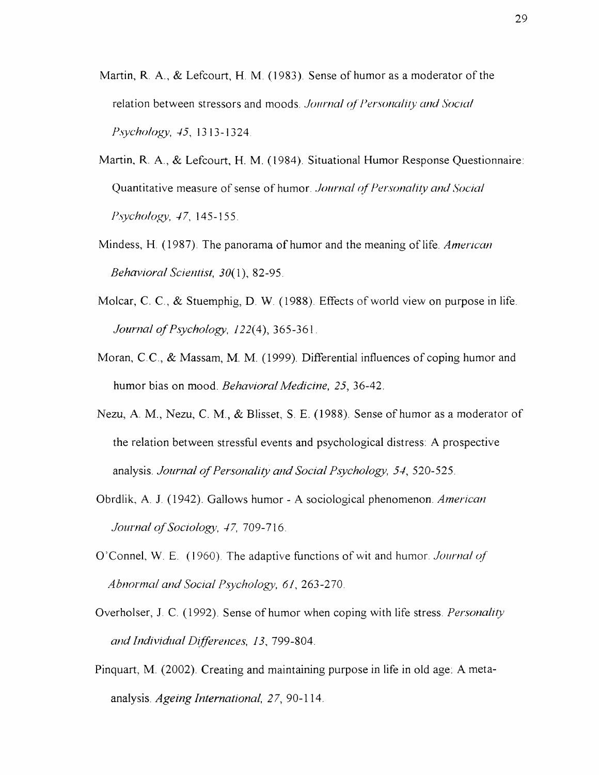- Martin, R. A.,  $&$  Lefcourt, H. M. (1983). Sense of humor as a moderator of the relation between stressors and moods. Journal of Personality and Social *Psychology, 45,* 1313-1324
- Martin, R. A., & Lefcourt, H. M. (1984). Situational Humor Response Questionnaire: Quantitative measure of sense of humor. *Journal of Personality and Social Psychology, 47,* 145-155.
- Mindess, H. (1987). The panorama of humor and the meaning of life. *American Behavioral Scientist, 30(1), 82-95.*
- Molcar, C. C.,  $\&$  Stuemphig, D. W. (1988). Effects of world view on purpose in life. *Journal of Psychology, 122(4), 365-361.*
- Moran, C.C.,  $\&$  Massam, M. M. (1999). Differential influences of coping humor and humor bias on mood. *Behavioral Medicine, 25,* 36-42.
- Nezu, A. M., Nezu, C. M., & Blisset, S. E. (1988). Sense of humor as a moderator of the relation between stressful events and psychological distress: A prospective analysis. *Journal of Personality and Social Psychology, 54, 520-525.*
- Obrdlik, A. J. (1942). Gallows humor A sociological phenomenon. *American Journal of Sociology, 47, 709-716.*
- O'Connel, W. E. (1960). The adaptive functions of wit and humor. *Journal of Abnormal and Social Psychology1, 61*, 263-270.
- Overholser, J. C. (1992). Sense of humor when coping with life stress. *Personality and Individual Differences, 13,* 799-804.
- Pinquart, M. (2002). Creating and maintaining purpose in life in old age: A metaanalysis. *Ageing International, 27,* 90-114.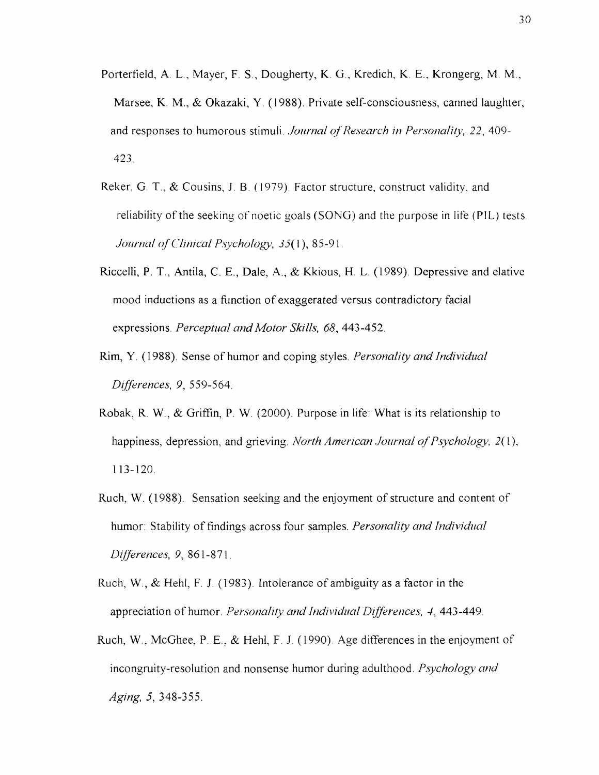- Porterfield, A. L., Mayer, F. S., Dougherty, K. G., Kredich, K. E., Krongerg, M. M., Marsee, K. M., & Okazaki, Y. (1988). Private self-consciousness, canned laughter, and responses to humorous stimuli. *Journal of Research in Personality*, 22, 409-423.
- Reker, G. T., & Cousins, J. B. (1979). Factor structure, construct validity, and reliability of the seeking of noetic goals (SONG) and the purpose in life (PIL) tests. *Journal of Clinical Psychology, 35(1), 85-91.*
- Riccelli, P. T., Antila, C. E., Dale, A., & Kkious, H. L. (1989). Depressive and elative mood inductions as a function of exaggerated versus contradictory facial expressions. *Perceptual and Motor Skills, 68*, 443-452.
- Rim, Y. (1988). Sense of humor and coping styles. *Personality and Individual Differences,* 9, 559-564.
- Robak, R. W., & Griffin, P. W. (2000). Purpose in life: What is its relationship to happiness, depression, and grieving. *North American Journal of Psychology*, 2(1), 113-120.
- Ruch, W. (1988). Sensation seeking and the enjoyment of structure and content of humor: Stability of findings across four samples. *Personality and Individual Differences,* 9, 861-871.
- Ruch, W., & Hehl, F. J. (1983). Intolerance of ambiguity as a factor in the appreciation of humor. *Personality and Individual Differences*, 4, 443-449.
- Ruch, W., McGhee, P. E., & Hehl, F. J. (1990) Age differences in the enjoyment of incongruity-resolution and nonsense humor during adulthood. *Psychology and Aging,* 5, 348-355.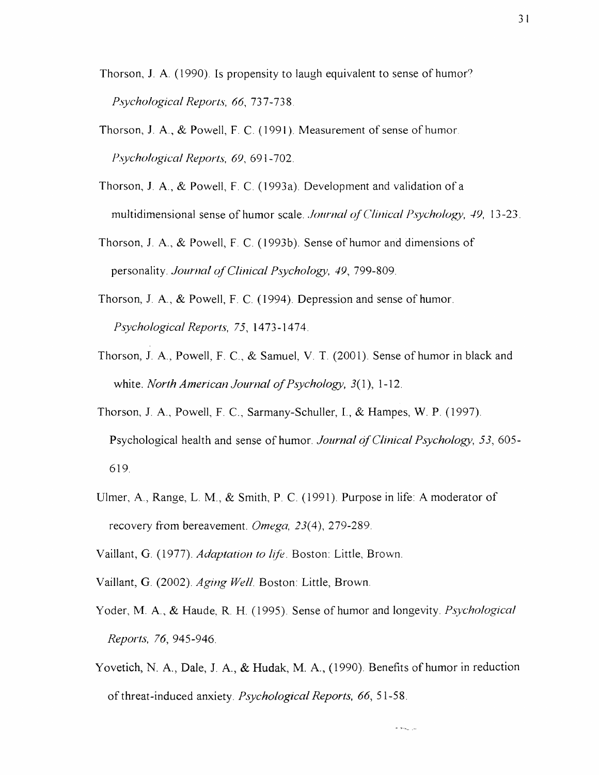Thorson, J. A. (1990). Is propensity to laugh equivalent to sense of humor? *Psychological Reports, 66,* 737-738

- Thorson, J. A., & Powell, F. C. (1991). Measurement of sense of humor. *Psychological Reports, 69*, 691-702.
- Thorson, J. A., & Powell, F. C. (1993a). Development and validation of a multidimensional sense of humor scale. *Journal of Clinical Psychology*, 49, 13-23.
- Thorson, J. A., & Powell, F. C. (1993b). Sense of humor and dimensions of personality. *Journal of Clinical Psychology, 49, 799-809.*
- Thorson, J. A., & Powell, F. C. (1994). Depression and sense of humor. *Psychological Reports, 75*, 1473-1474.
- Thorson, J. A., Powell, F. C., & Samuel, V. T. (2001). Sense of humor in black and white. *North American Journal of Psychology*, 3(1), 1-12.
- Thorson, J. A., Powell, F. C., Sarmany-Schuller, I., & Hampes, W. P. (1997). Psychological health and sense of humor. *Journal of Clinical Psychology*, 53, 605-619.
- Ulmer, A., Range, L. M., & Smith, P. C. (1991). Purpose in life: A moderator of recovery from bereavement. *Omega, 23(4),* 279-289.
- Vaillant, G. (1977). *Adaptation to life.* Boston: Little, Brown.
- Vaillant, G. (2002). *Aging Well.* Boston: Little, Brown.
- Yoder, M. A., & Haude, R. H. (1995). Sense of humor and longevity. *Psychological Reports, 76,* 945-946.
- Yovetich, N. A., Dale, J. A.,  $\&$  Hudak, M. A., (1990). Benefits of humor in reduction o f threat-induced anxiety. *Psychological Reports, 66,* 51-58.

لي <sub>الت</sub>بية م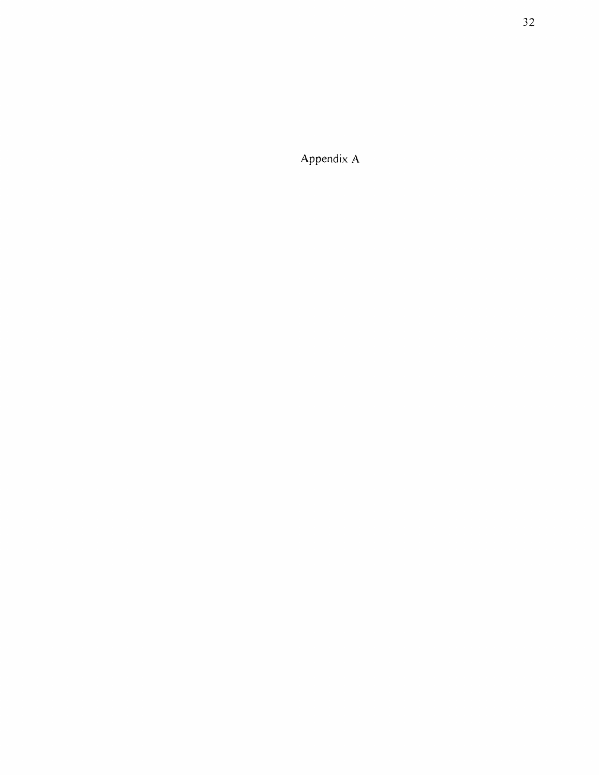Appendix A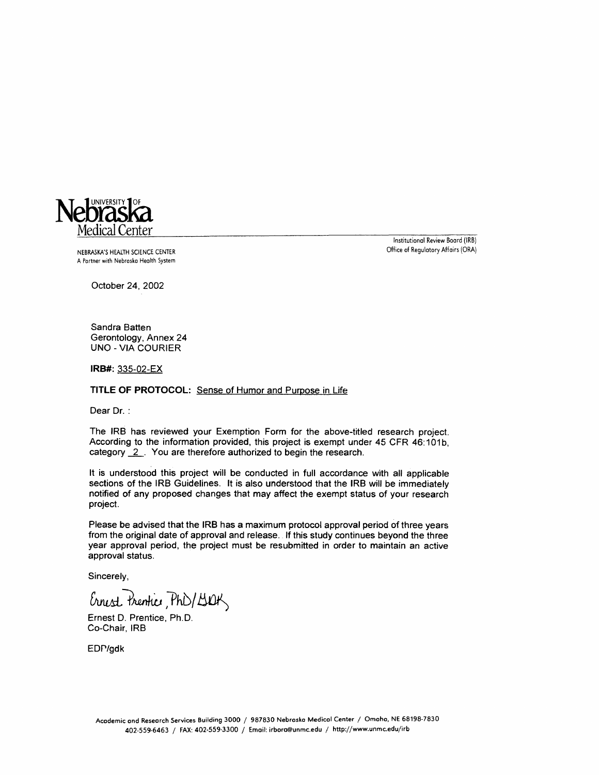

NEBRASKA'S HEALTH SCIENCE CENTER **of the contract of Security Affairs (ORA)** office of Regulatory Affairs (ORA) A Partner with Nebraska Health System

Institutional Review Board (IRB)

October 24, 2002

Sandra Batten Gerontology, Annex 24 UNO-VIA COURIER

**IRB#:** 335-02-EX

#### **TITLE OF PROTOCOL:** Sense of Humor and Purpose in Life

Dear Dr. :

The IRB has reviewed your Exemption Form for the above-titled research project. According to the information provided, this project is exempt under 45 CFR 46:101b, category 2. You are therefore authorized to begin the research.

It is understood this project will be conducted in full accordance with all applicable sections of the IRB Guidelines. It is also understood that the IRB will be immediately notified of any proposed changes that may affect the exempt status of your research project.

Please be advised that the IRB has a maximum protocol approval period of three years from the original date of approval and release. If this study continues beyond the three year approval period, the project must be resubmitted in order to maintain an active approval status.

Sincerely,

Ernest Prentice, PhD/190K

Ernest D. Prentice, Ph.D. Co-Chair, IRB

EDP/gdk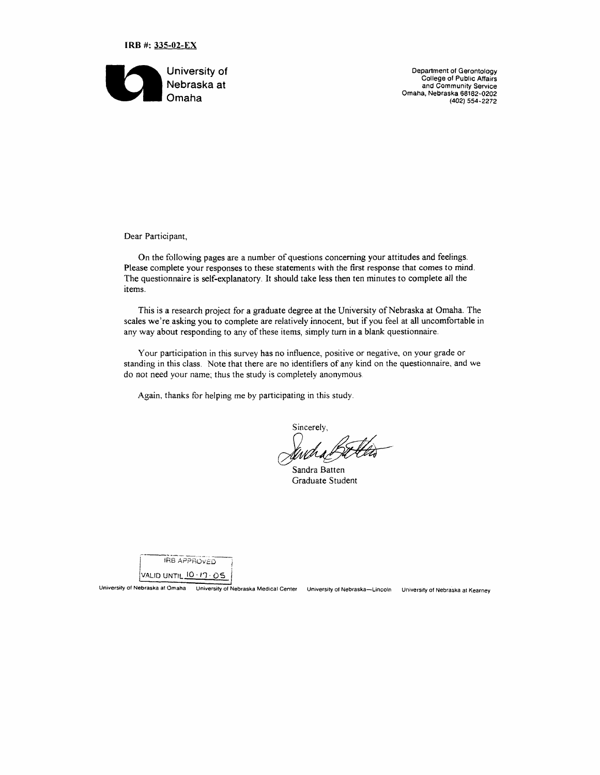



**Department of Gerontology C ollege of Public Affairs and Community Service Omaha, Nebraska 68182-0202 (402) 554-2272**

Dear Participant,

On the following pages are a number of questions concerning your attitudes and feelings. Please complete your responses to these statements with the first response that comes to mind. The questionnaire is self-explanatory. It should take less then ten minutes to complete all the items.

This is a research project for a graduate degree at the University of Nebraska at Omaha. The scales we're asking you to complete are relatively innocent, but if you feel at all uncomfortable in any way about responding to any of these items, simply turn in a blank questionnaire.

Your participation in this survey has no influence, positive or negative, on your grade or standing in this class. Note that there are no identifiers of any kind on the questionnaire, and we do not need your name; thus the study is completely anonymous.

Again, thanks for helping me by participating in this study.

**Sincerely,** Wha

Sandra Batten **Graduate Student** 

IRB APPROVED

VALID UNTIL 10 · 17 · 05

University of Nebraska at Omaha University of Nebraska Medical Center University of Nebraska-Lincoln University of Nebraska at Kearney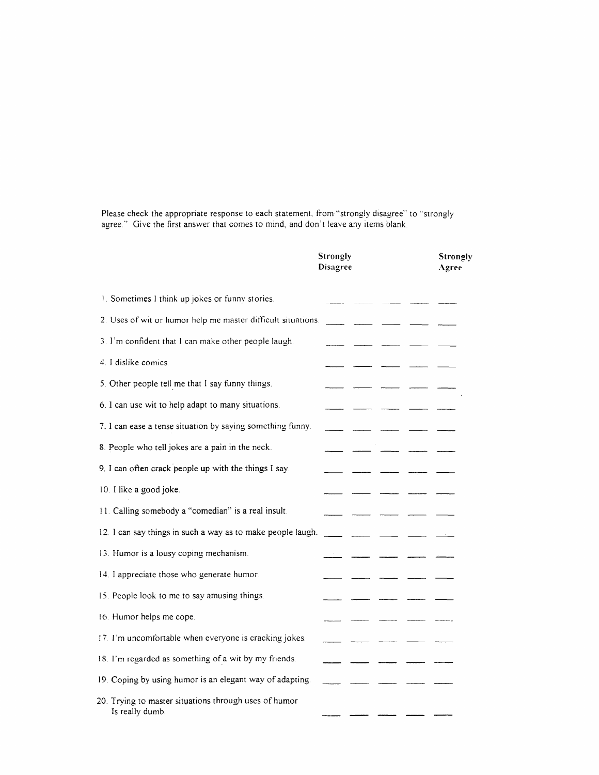Please check the appropriate response to each statement, from "strongly disagree" to "strongly agree." Give the first answer that comes to mind, and don't leave any items blank.

|                                                                          | Strongly<br>Disagree |  | Strongly<br>Agree |
|--------------------------------------------------------------------------|----------------------|--|-------------------|
| 1. Sometimes I think up jokes or funny stories.                          |                      |  |                   |
| 2. Uses of wit or humor help me master difficult situations.             |                      |  |                   |
| 3. I'm confident that I can make other people laugh.                     |                      |  |                   |
| 4 I dislike comics.                                                      |                      |  |                   |
| 5. Other people tell me that I say funny things.                         |                      |  |                   |
| 6. I can use wit to help adapt to many situations.                       |                      |  |                   |
| 7. I can ease a tense situation by saying something funny.               |                      |  |                   |
| 8. People who tell jokes are a pain in the neck.                         |                      |  |                   |
| 9. I can often crack people up with the things I say.                    |                      |  |                   |
| 10. I like a good joke.                                                  |                      |  |                   |
| 11. Calling somebody a "comedian" is a real insult.                      |                      |  |                   |
| 12. I can say things in such a way as to make people laugh.              |                      |  |                   |
| 13. Humor is a lousy coping mechanism.                                   |                      |  |                   |
| 14. I appreciate those who generate humor.                               |                      |  |                   |
| 15. People look to me to say amusing things.                             |                      |  |                   |
| 16. Humor helps me cope.                                                 |                      |  |                   |
| 17. I'm uncomfortable when everyone is cracking jokes.                   |                      |  |                   |
| 18. I'm regarded as something of a wit by my friends.                    |                      |  |                   |
| 19. Coping by using humor is an elegant way of adapting.                 |                      |  |                   |
| 20. Trying to master situations through uses of humor<br>Is really dumb. |                      |  |                   |